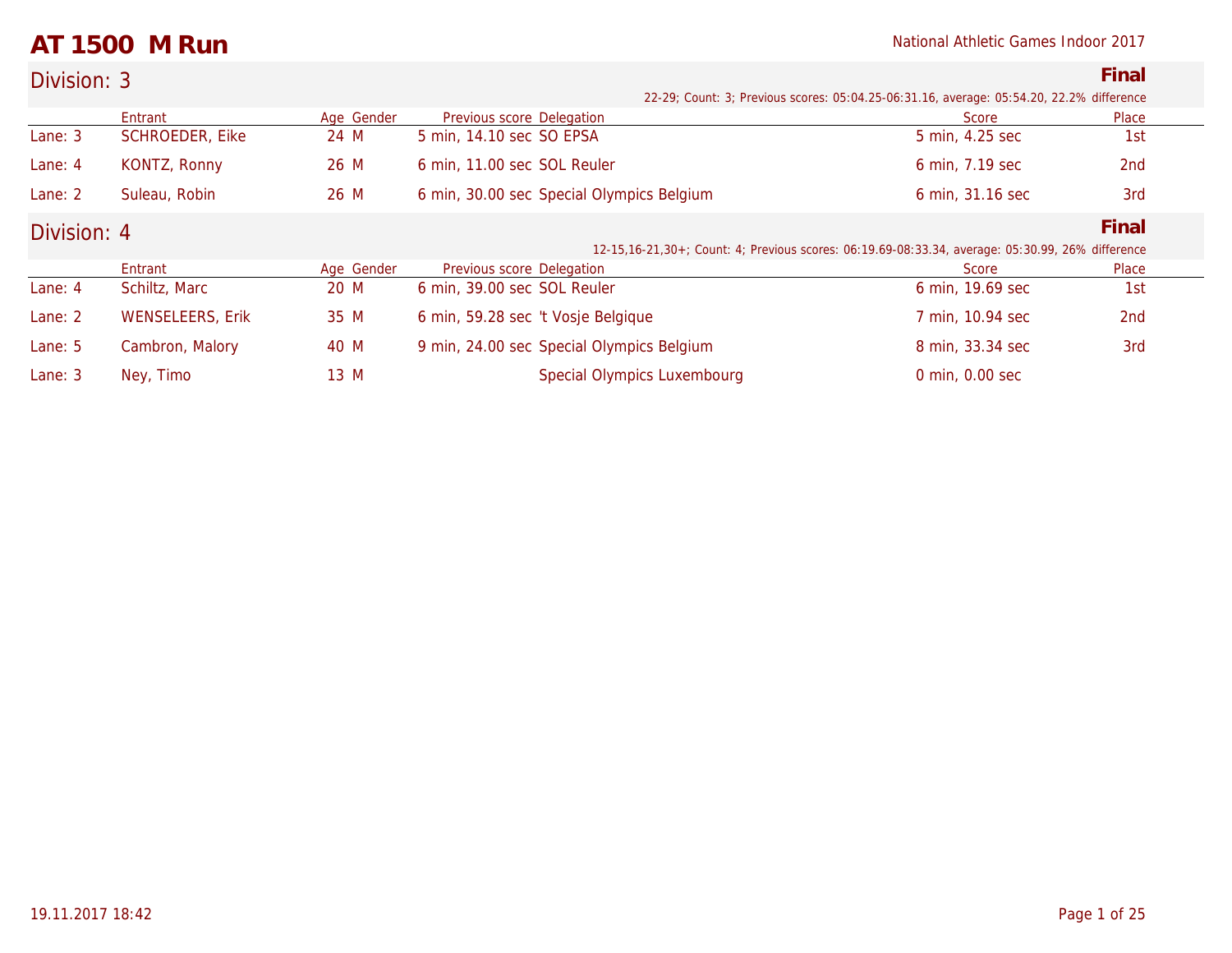## **AT 1500 M Run** National Athletic Games Indoor 2017

| Division: 3 |                         |            |                                           |                                                                                                    | Final |
|-------------|-------------------------|------------|-------------------------------------------|----------------------------------------------------------------------------------------------------|-------|
|             |                         |            |                                           | 22-29; Count: 3; Previous scores: 05:04.25-06:31.16, average: 05:54.20, 22.2% difference           |       |
|             | Entrant                 | Age Gender | Previous score Delegation                 | Score                                                                                              | Place |
| Lane: 3     | <b>SCHROEDER, Eike</b>  | 24 M       | 5 min, 14.10 sec SO EPSA                  | 5 min, 4.25 sec                                                                                    | 1st   |
| Lane: 4     | KONTZ, Ronny            | 26 M       | 6 min, 11.00 sec SOL Reuler               | 6 min, 7.19 sec                                                                                    | 2nd   |
| Lane: 2     | Suleau, Robin           | 26 M       | 6 min, 30.00 sec Special Olympics Belgium | 6 min, 31.16 sec                                                                                   | 3rd   |
| Division: 4 |                         |            |                                           |                                                                                                    | Final |
|             |                         |            |                                           | 12-15, 16-21, 30+; Count: 4; Previous scores: 06:19.69-08:33.34, average: 05:30.99, 26% difference |       |
|             | Entrant                 | Age Gender | Previous score Delegation                 | Score                                                                                              | Place |
| Lane: 4     | Schiltz, Marc           | 20 M       | 6 min, 39.00 sec SOL Reuler               | 6 min, 19.69 sec                                                                                   | 1st   |
| Lane: 2     | <b>WENSELEERS, Erik</b> | 35 M       | 6 min, 59.28 sec 't Vosje Belgique        | 7 min, 10.94 sec                                                                                   | 2nd   |
| Lane: 5     | Cambron, Malory         | 40 M       | 9 min, 24.00 sec Special Olympics Belgium | 8 min, 33.34 sec                                                                                   | 3rd   |
| Lane: $3$   | Ney, Timo               | 13 M       | <b>Special Olympics Luxembourg</b>        | 0 min, 0.00 sec                                                                                    |       |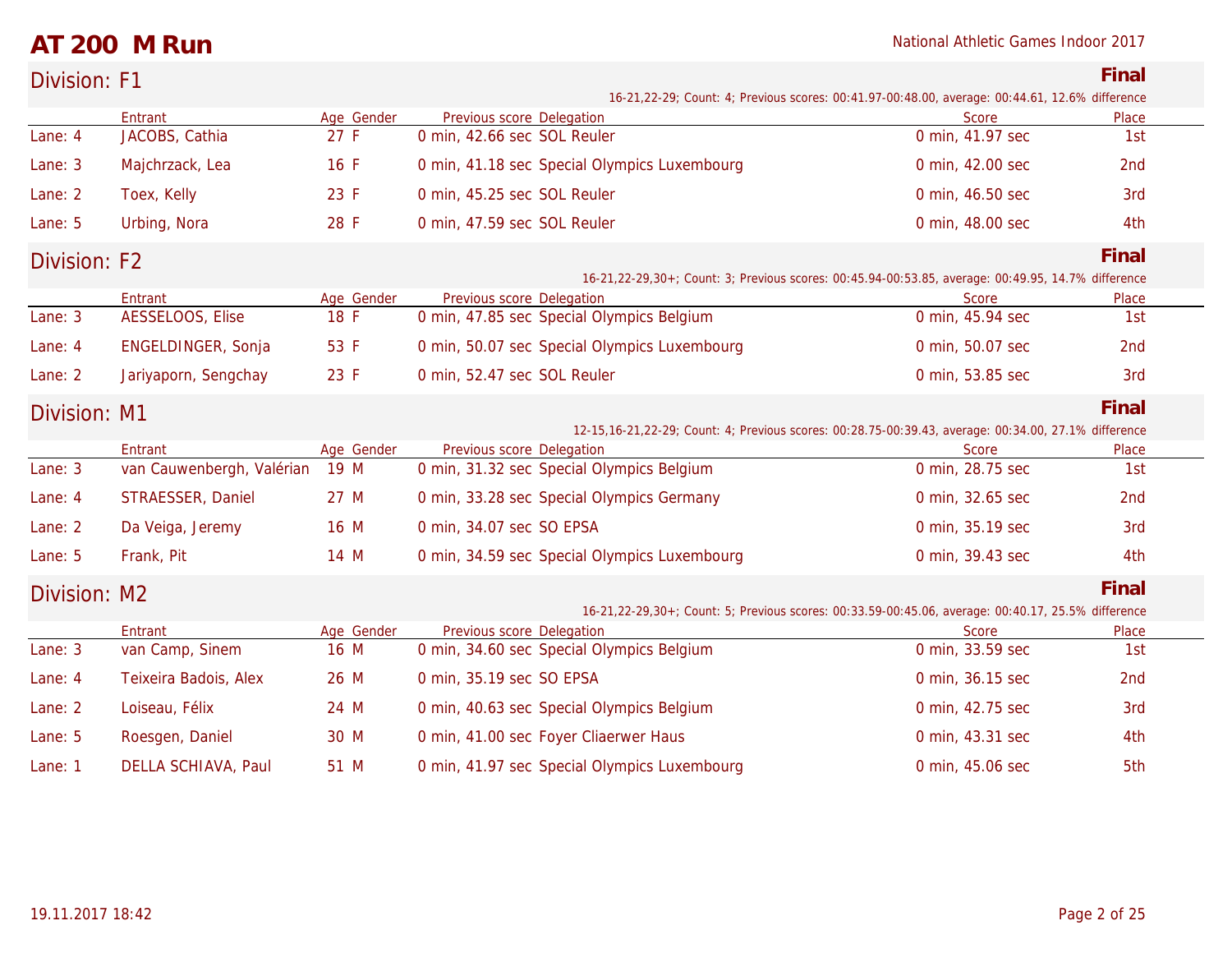### **AT 200 M Run** National Athletic Games Indoor 2017

| Division: F1 |                           |            |                                              |                                                                                                           | Final |
|--------------|---------------------------|------------|----------------------------------------------|-----------------------------------------------------------------------------------------------------------|-------|
|              |                           |            |                                              | 16-21, 22-29; Count: 4; Previous scores: 00:41.97-00:48.00, average: 00:44.61, 12.6% difference           |       |
|              | Entrant                   | Age Gender | Previous score Delegation                    | <b>Score</b>                                                                                              | Place |
| Lane: 4      | JACOBS, Cathia            | 27 F       | 0 min, 42.66 sec SOL Reuler                  | 0 min, 41.97 sec                                                                                          | 1st   |
| Lane: 3      | Majchrzack, Lea           | 16 F       | 0 min, 41.18 sec Special Olympics Luxembourg | 0 min, 42.00 sec                                                                                          | 2nd   |
| Lane: 2      | Toex, Kelly               | 23 F       | 0 min, 45.25 sec SOL Reuler                  | 0 min, 46.50 sec                                                                                          | 3rd   |
| Lane: 5      | Urbing, Nora              | 28 F       | 0 min, 47.59 sec SOL Reuler                  | 0 min, 48.00 sec                                                                                          | 4th   |
| Division: F2 |                           |            |                                              |                                                                                                           | Final |
|              |                           |            |                                              | 16-21, 22-29, 30+; Count: 3; Previous scores: 00: 45.94-00: 53.85, average: 00: 49.95, 14.7% difference   |       |
|              | Entrant                   | Age Gender | Previous score Delegation                    | Score                                                                                                     | Place |
| Lane: 3      | AESSELOOS, Elise          | 18 F       | 0 min, 47.85 sec Special Olympics Belgium    | 0 min, 45.94 sec                                                                                          | 1st   |
| Lane: 4      | ENGELDINGER, Sonja        | 53 F       | 0 min, 50.07 sec Special Olympics Luxembourg | 0 min, 50.07 sec                                                                                          | 2nd   |
| Lane: 2      | Jariyaporn, Sengchay      | 23 F       | 0 min, 52.47 sec SOL Reuler                  | 0 min, 53.85 sec                                                                                          | 3rd   |
| Division: M1 |                           |            |                                              |                                                                                                           | Final |
|              |                           |            |                                              | 12-15, 16-21, 22-29; Count: 4; Previous scores: 00: 28.75-00: 39.43, average: 00: 34.00, 27.1% difference |       |
|              | Entrant                   | Age Gender | Previous score Delegation                    | Score                                                                                                     | Place |
| Lane: 3      | van Cauwenbergh, Valérian | 19 M       | 0 min, 31.32 sec Special Olympics Belgium    | 0 min, 28.75 sec                                                                                          | 1st   |
| Lane: 4      | STRAESSER, Daniel         | 27 M       | 0 min, 33.28 sec Special Olympics Germany    | 0 min, 32.65 sec                                                                                          | 2nd   |
| Lane: 2      | Da Veiga, Jeremy          | 16 M       | 0 min, 34.07 sec SO EPSA                     | 0 min, 35.19 sec                                                                                          | 3rd   |
| Lane: $5$    | Frank, Pit                | 14 M       | 0 min, 34.59 sec Special Olympics Luxembourg | 0 min, 39.43 sec                                                                                          | 4th   |
| Division: M2 |                           |            |                                              |                                                                                                           | Final |
|              |                           |            |                                              | 16-21, 22-29, 30+; Count: 5; Previous scores: 00:33.59-00:45.06, average: 00:40.17, 25.5% difference      |       |
|              |                           |            |                                              |                                                                                                           |       |

|           | Entrant               | Age Gender | Previous score Delegation                    | Score            | Place |  |
|-----------|-----------------------|------------|----------------------------------------------|------------------|-------|--|
| Lane: 3   | van Camp, Sinem       | 16 M       | 0 min, 34.60 sec Special Olympics Belgium    | 0 min, 33.59 sec | 1st   |  |
| Lane: 4   | Teixeira Badois, Alex | 26 M       | 0 min, 35.19 sec SO EPSA                     | 0 min, 36.15 sec | 2nd   |  |
| Lane: 2   | Loiseau, Félix        | 24 M       | 0 min, 40.63 sec Special Olympics Belgium    | 0 min, 42.75 sec | 3rd   |  |
| Lane: 5   | Roesgen, Daniel       | 30 M       | 0 min, 41.00 sec Foyer Cliaerwer Haus        | 0 min, 43.31 sec | 4th   |  |
| Lane: $1$ | DELLA SCHIAVA, Paul   | 51 M       | 0 min, 41.97 sec Special Olympics Luxembourg | 0 min, 45.06 sec | 5th   |  |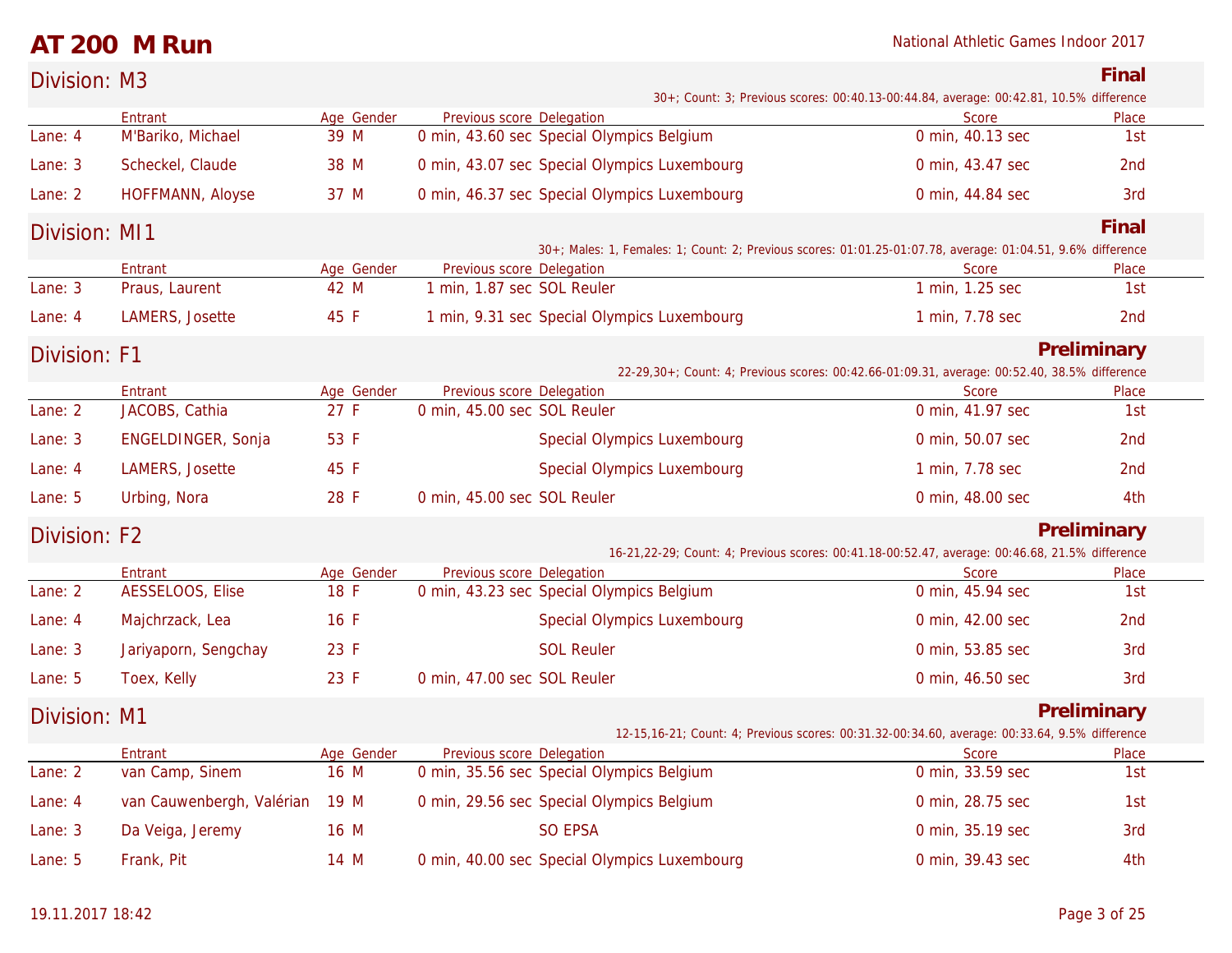### **AT 200 M Run** National Athletic Games Indoor 2017

| Division: M3  |                                |                    |                             |                                              |                                                                                                             | Final           |
|---------------|--------------------------------|--------------------|-----------------------------|----------------------------------------------|-------------------------------------------------------------------------------------------------------------|-----------------|
|               |                                |                    |                             |                                              | 30+; Count: 3; Previous scores: 00:40.13-00:44.84, average: 00:42.81, 10.5% difference                      |                 |
| Lane: 4       | Entrant<br>M'Bariko, Michael   | Age Gender<br>39 M | Previous score Delegation   | 0 min, 43.60 sec Special Olympics Belgium    | <b>Score</b><br>0 min, 40.13 sec                                                                            | Place<br>1st    |
| Lane: 3       | Scheckel, Claude               | 38 M               |                             | 0 min, 43.07 sec Special Olympics Luxembourg | 0 min, 43.47 sec                                                                                            | 2 <sub>nd</sub> |
| Lane: 2       | HOFFMANN, Aloyse               | 37 M               |                             | 0 min, 46.37 sec Special Olympics Luxembourg | 0 min, 44.84 sec                                                                                            | 3rd             |
| Division: MI1 |                                |                    |                             |                                              |                                                                                                             | Final           |
|               |                                |                    |                             |                                              | 30+; Males: 1, Females: 1; Count: 2; Previous scores: 01:01.25-01:07.78, average: 01:04.51, 9.6% difference |                 |
|               | Entrant                        | Age Gender         | Previous score Delegation   |                                              | Score                                                                                                       | Place           |
| Lane: 3       | Praus, Laurent                 | 42 M               | 1 min, 1.87 sec SOL Reuler  |                                              | 1 min, 1.25 sec                                                                                             | 1st             |
| Lane: 4       | LAMERS, Josette                | 45 F               |                             | 1 min, 9.31 sec Special Olympics Luxembourg  | 1 min, 7.78 sec                                                                                             | 2nd             |
| Division: F1  |                                |                    |                             |                                              |                                                                                                             | Preliminary     |
|               | Entrant                        | Age Gender         | Previous score Delegation   |                                              | 22-29,30+; Count: 4; Previous scores: 00:42.66-01:09.31, average: 00:52.40, 38.5% difference<br>Score       | Place           |
| Lane: 2       | JACOBS, Cathia                 | 27 F               | 0 min, 45.00 sec SOL Reuler |                                              | 0 min, 41.97 sec                                                                                            | 1st             |
| Lane: 3       | ENGELDINGER, Sonja             | 53 F               |                             | Special Olympics Luxembourg                  | 0 min, 50.07 sec                                                                                            | 2 <sub>nd</sub> |
| Lane: 4       | LAMERS, Josette                | 45 F               |                             | <b>Special Olympics Luxembourg</b>           | 1 min, 7.78 sec                                                                                             | 2nd             |
| Lane: 5       | Urbing, Nora                   | 28 F               | 0 min, 45.00 sec SOL Reuler |                                              | 0 min, 48.00 sec                                                                                            | 4th             |
| Division: F2  |                                |                    |                             |                                              |                                                                                                             | Preliminary     |
|               |                                |                    |                             |                                              | 16-21,22-29; Count: 4; Previous scores: 00:41.18-00:52.47, average: 00:46.68, 21.5% difference              |                 |
|               | Entrant                        | Age Gender         | Previous score Delegation   |                                              | <b>Score</b>                                                                                                | Place           |
| Lane: 2       | AESSELOOS, Elise               | 18 F               |                             | 0 min, 43.23 sec Special Olympics Belgium    | 0 min, 45.94 sec                                                                                            | 1st             |
| Lane: 4       | Majchrzack, Lea                | 16 F               |                             | <b>Special Olympics Luxembourg</b>           | 0 min, 42.00 sec                                                                                            | 2nd             |
| Lane: 3       | Jariyaporn, Sengchay           | 23 F               |                             | <b>SOL Reuler</b>                            | 0 min, 53.85 sec                                                                                            | 3rd             |
| Lane: 5       | Toex, Kelly                    | 23 F               | 0 min, 47.00 sec SOL Reuler |                                              | 0 min, 46.50 sec                                                                                            | 3rd             |
| Division: M1  |                                |                    |                             |                                              |                                                                                                             | Preliminary     |
|               | Entrant                        | Age Gender         | Previous score Delegation   |                                              | 12-15, 16-21; Count: 4; Previous scores: 00:31.32-00:34.60, average: 00:33.64, 9.5% difference<br>Score     | Place           |
| Lane: 2       | van Camp, Sinem                | 16 M               |                             | 0 min, 35.56 sec Special Olympics Belgium    | 0 min, 33.59 sec                                                                                            | 1st             |
| Lane: 4       | van Cauwenbergh, Valérian 19 M |                    |                             | 0 min, 29.56 sec Special Olympics Belgium    | 0 min, 28.75 sec                                                                                            | 1st             |
| Lane: 3       | Da Veiga, Jeremy               | 16 M               |                             | <b>SO EPSA</b>                               | 0 min, 35.19 sec                                                                                            | 3rd             |
| Lane: 5       | Frank, Pit                     | 14 M               |                             | 0 min, 40.00 sec Special Olympics Luxembourg | 0 min, 39.43 sec                                                                                            | 4th             |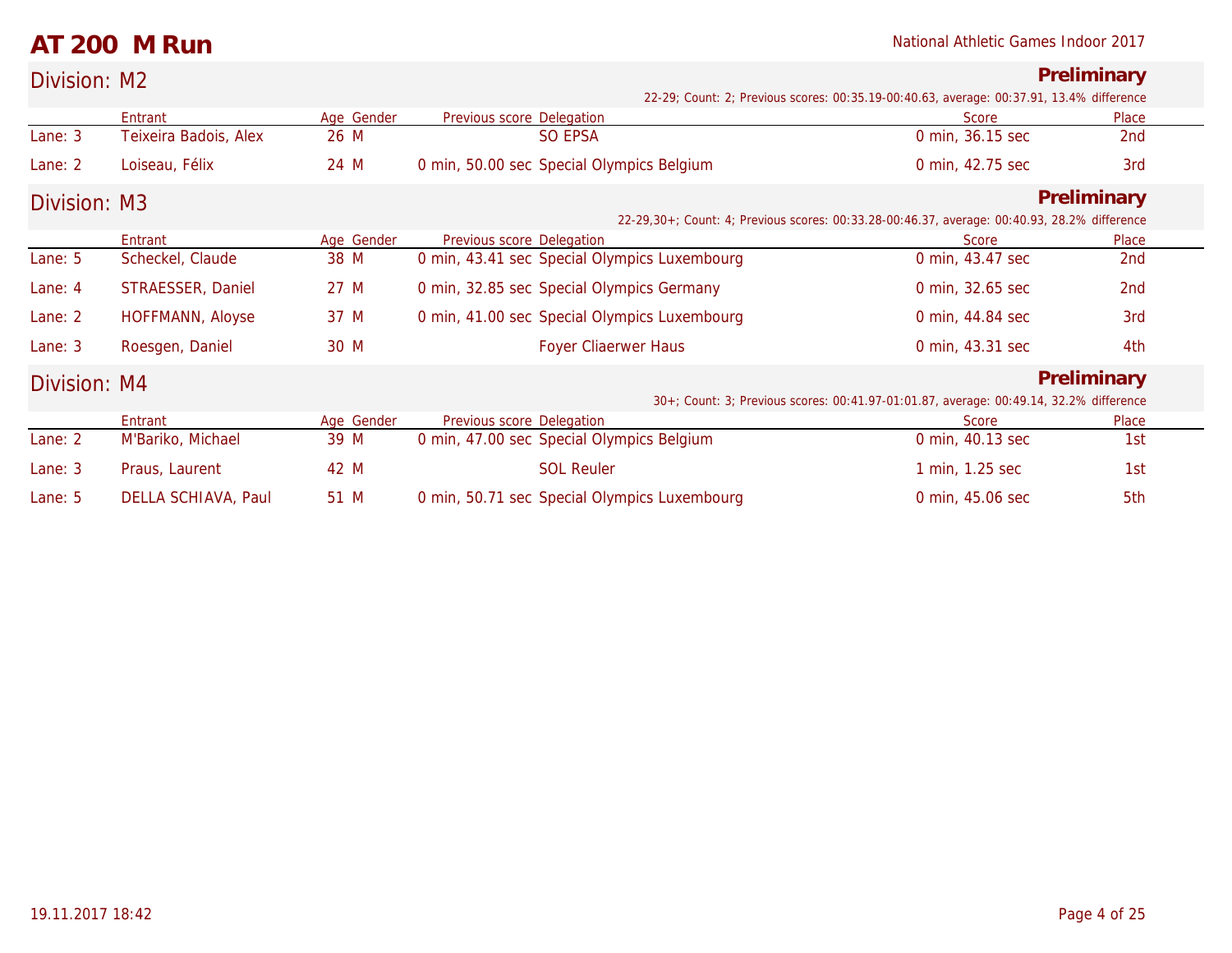|  | National Athletic Games Indoor 2017 |  |  |  |  |
|--|-------------------------------------|--|--|--|--|
|--|-------------------------------------|--|--|--|--|

|              | AT 200 M Run          |            |                                              | National Athletic Games Indoor 2017                                                          |                 |
|--------------|-----------------------|------------|----------------------------------------------|----------------------------------------------------------------------------------------------|-----------------|
| Division: M2 |                       |            |                                              | 22-29; Count: 2; Previous scores: 00:35.19-00:40.63, average: 00:37.91, 13.4% difference     | Preliminary     |
|              | Entrant               | Age Gender | Previous score Delegation                    | Score                                                                                        | Place           |
| Lane: 3      | Teixeira Badois, Alex | 26 M       | SO EPSA                                      | 0 min, 36.15 sec                                                                             | 2nd             |
| Lane: 2      | Loiseau, Félix        | 24 M       | 0 min, 50.00 sec Special Olympics Belgium    | 0 min, 42.75 sec                                                                             | 3rd             |
| Division: M3 |                       |            |                                              |                                                                                              | Preliminary     |
|              |                       |            |                                              | 22-29,30+; Count: 4; Previous scores: 00:33.28-00:46.37, average: 00:40.93, 28.2% difference |                 |
|              | Entrant               | Age Gender | Previous score Delegation                    | Score                                                                                        | Place           |
| Lane: 5      | Scheckel, Claude      | 38 M       | 0 min, 43.41 sec Special Olympics Luxembourg | 0 min, 43.47 sec                                                                             | 2nd             |
| Lane: 4      | STRAESSER, Daniel     | 27 M       | 0 min, 32.85 sec Special Olympics Germany    | 0 min, 32.65 sec                                                                             | 2 <sub>nd</sub> |
| Lane: 2      | HOFFMANN, Aloyse      | 37 M       | 0 min, 41.00 sec Special Olympics Luxembourg | 0 min, 44.84 sec                                                                             | 3rd             |
| Lane: 3      | Roesgen, Daniel       | 30 M       | Foyer Cliaerwer Haus                         | 0 min, 43.31 sec                                                                             | 4th             |
| Division: M4 |                       |            |                                              |                                                                                              | Preliminary     |
|              |                       |            |                                              | 30+; Count: 3; Previous scores: 00:41.97-01:01.87, average: 00:49.14, 32.2% difference       |                 |
|              | Entrant               | Age Gender | Previous score Delegation                    | Score                                                                                        | Place           |
| Lane: 2      | M'Bariko, Michael     | 39 M       | 0 min, 47.00 sec Special Olympics Belgium    | 0 min, 40.13 sec                                                                             | 1st             |
| Lane: 3      | Praus, Laurent        | 42 M       | <b>SOL Reuler</b>                            | 1 min, 1.25 sec                                                                              | 1st             |
| Lane: $5$    | DELLA SCHIAVA, Paul   | 51 M       | 0 min, 50.71 sec Special Olympics Luxembourg | 0 min, 45.06 sec                                                                             | 5th             |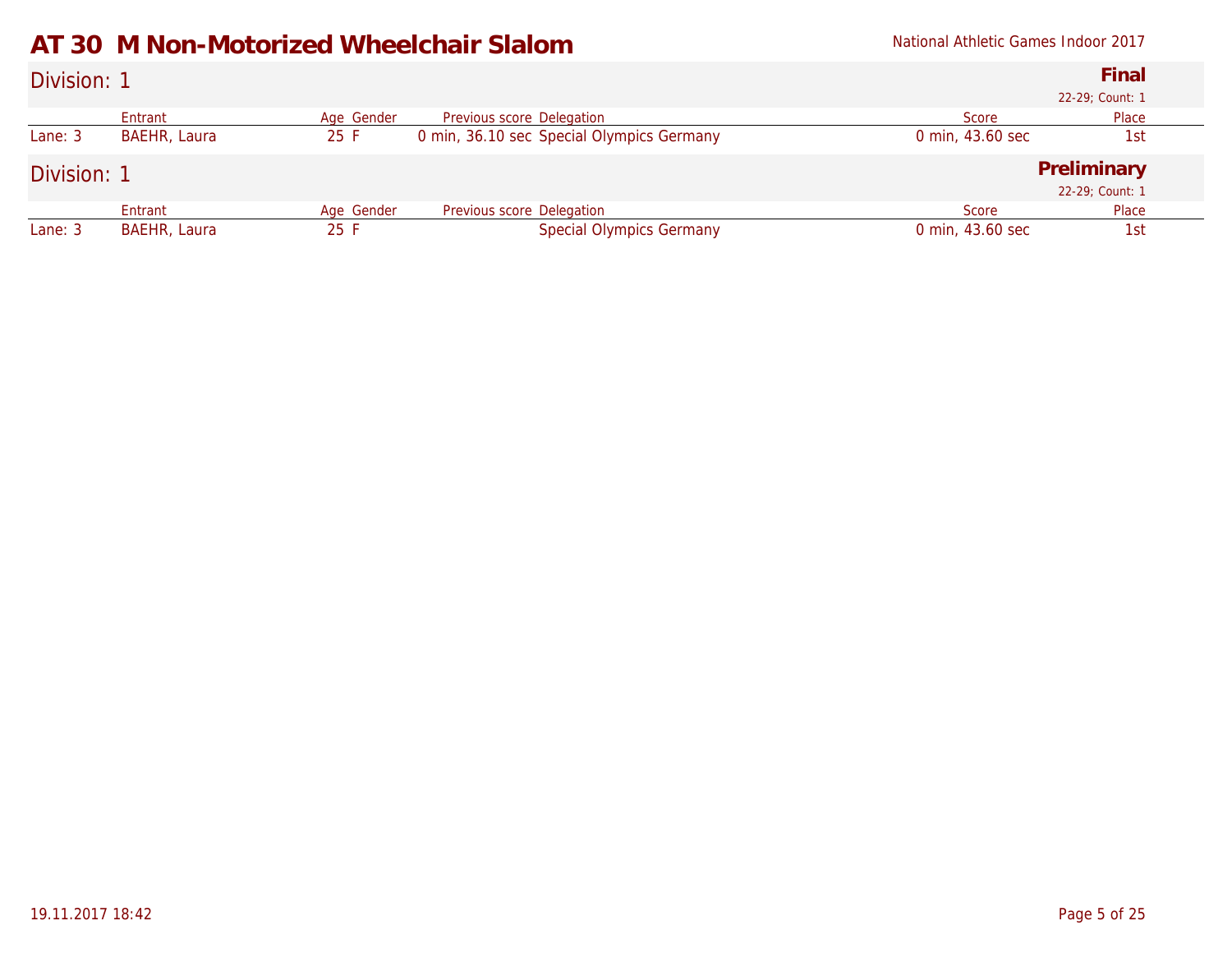### **AT 30 M Non-Motorized Wheelchair Slalom** National Athletic Games Indoor 2017

| Division: 1 |              |            |                                           |                  | Final<br>22-29; Count: 1       |
|-------------|--------------|------------|-------------------------------------------|------------------|--------------------------------|
|             | Entrant      | Age Gender | Previous score Delegation                 | Score            | Place                          |
| Lane: 3     | BAEHR, Laura | 25 F       | 0 min, 36.10 sec Special Olympics Germany | 0 min, 43.60 sec | 1st                            |
| Division: 1 |              |            |                                           |                  | Preliminary<br>22-29; Count: 1 |
|             | Entrant      | Age Gender | Previous score Delegation                 | Score            | Place                          |
| Lane: 3     | BAEHR, Laura | 25 F       | <b>Special Olympics Germany</b>           | 0 min, 43.60 sec | 1st                            |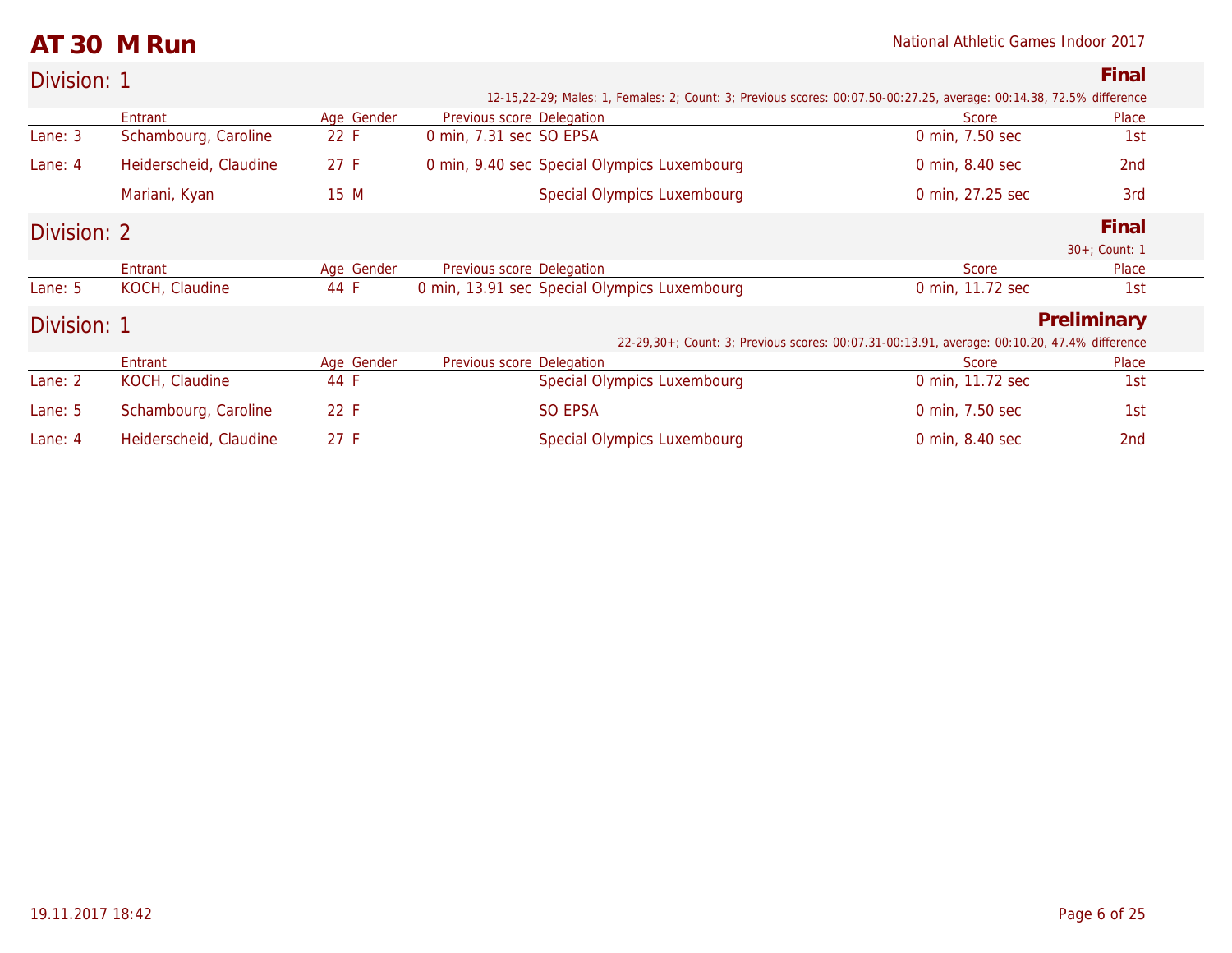### **AT 30 M Run** National Athletic Games Indoor 2017

| Division: 1 |                        |            |                           |                                                                                                                      |                                                                                              | Final            |
|-------------|------------------------|------------|---------------------------|----------------------------------------------------------------------------------------------------------------------|----------------------------------------------------------------------------------------------|------------------|
|             |                        |            |                           | 12-15,22-29; Males: 1, Females: 2; Count: 3; Previous scores: 00:07.50-00:27.25, average: 00:14.38, 72.5% difference |                                                                                              |                  |
|             | Entrant                | Age Gender | Previous score Delegation |                                                                                                                      | Score                                                                                        | Place            |
| Lane: 3     | Schambourg, Caroline   | 22 F       | 0 min, 7.31 sec SO EPSA   |                                                                                                                      | 0 min, 7.50 sec                                                                              | 1st              |
| Lane: $4$   | Heiderscheid, Claudine | 27 F       |                           | 0 min, 9.40 sec Special Olympics Luxembourg                                                                          | 0 min, 8.40 sec                                                                              | 2 <sub>nd</sub>  |
|             | Mariani, Kyan          | 15 M       |                           | <b>Special Olympics Luxembourg</b>                                                                                   | 0 min, 27.25 sec                                                                             | 3rd              |
| Division: 2 |                        |            |                           |                                                                                                                      |                                                                                              | Final            |
|             |                        |            |                           |                                                                                                                      |                                                                                              | $30+$ ; Count: 1 |
|             | Entrant                | Age Gender | Previous score Delegation |                                                                                                                      | Score                                                                                        | Place            |
| Lane: $5$   | KOCH, Claudine         | 44 F       |                           | 0 min, 13.91 sec Special Olympics Luxembourg                                                                         | 0 min, 11.72 sec                                                                             | 1st              |
| Division: 1 |                        |            |                           |                                                                                                                      |                                                                                              | Preliminary      |
|             |                        |            |                           |                                                                                                                      | 22-29,30+; Count: 3; Previous scores: 00:07.31-00:13.91, average: 00:10.20, 47.4% difference |                  |
|             | Entrant                | Age Gender | Previous score Delegation |                                                                                                                      | Score                                                                                        | Place            |
| Lane: 2     | KOCH, Claudine         | 44 F       |                           | <b>Special Olympics Luxembourg</b>                                                                                   | 0 min, 11.72 sec                                                                             | 1st              |
| Lane: 5     | Schambourg, Caroline   | 22 F       |                           | <b>SO EPSA</b>                                                                                                       | 0 min, 7.50 sec                                                                              | 1st              |
| Lane: $4$   | Heiderscheid, Claudine | 27 F       |                           | Special Olympics Luxembourg                                                                                          | 0 min, 8.40 sec                                                                              | 2nd              |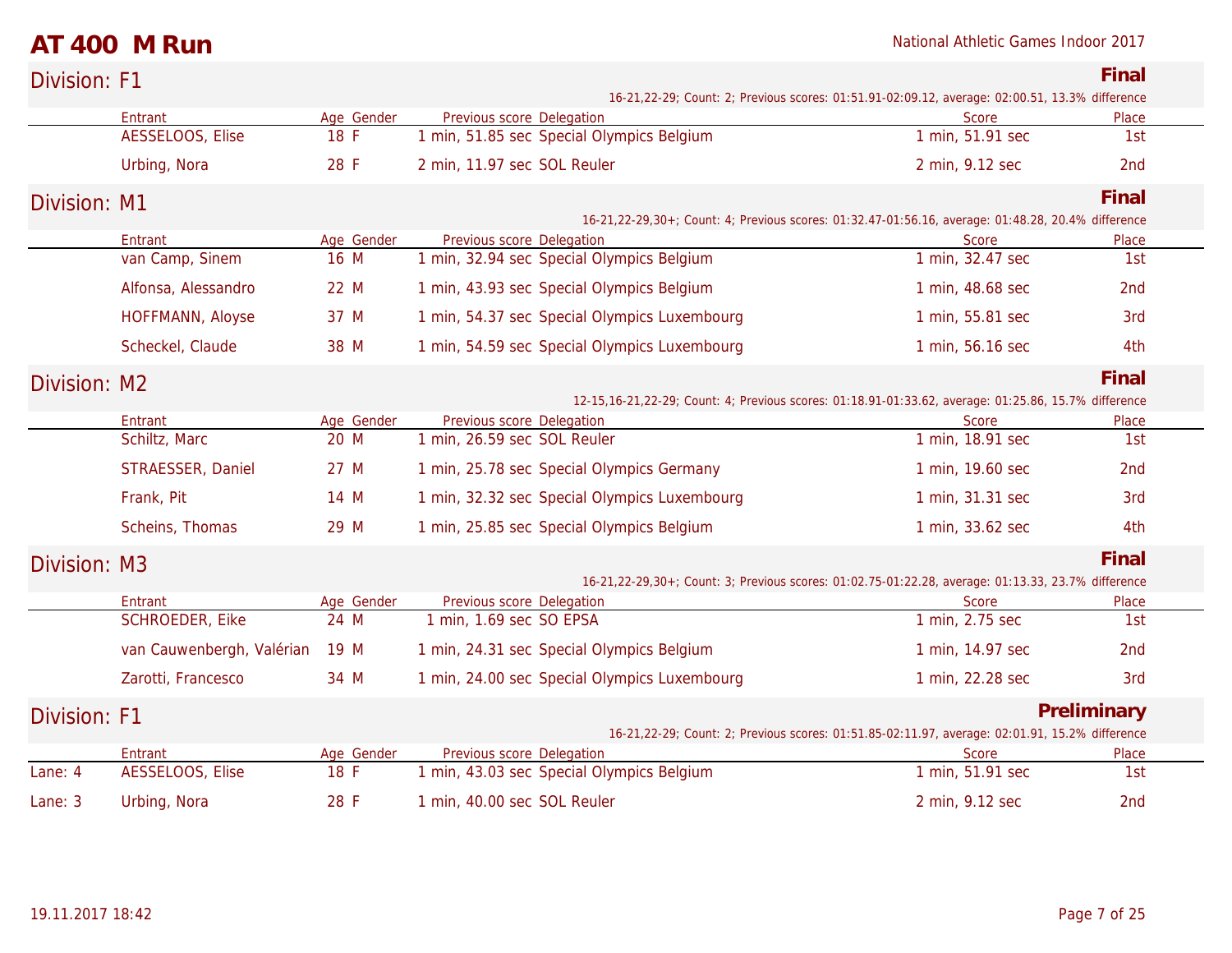**National Athletic Games Indoor 2017** 

| AT 400 M Run |  |
|--------------|--|
|--------------|--|

| Division: F1 |                            |                    |                                                                                                      |                           | Final           |
|--------------|----------------------------|--------------------|------------------------------------------------------------------------------------------------------|---------------------------|-----------------|
|              |                            |                    | 16-21, 22-29; Count: 2; Previous scores: 01:51.91-02:09.12, average: 02:00.51, 13.3% difference      |                           |                 |
|              | Entrant                    | Age Gender         | Previous score Delegation                                                                            | Score                     | Place           |
|              | AESSELOOS, Elise           | 18 F               | 1 min, 51.85 sec Special Olympics Belgium                                                            | 1 min, 51.91 sec          | 1st             |
|              | Urbing, Nora               | 28 F               | 2 min, 11.97 sec SOL Reuler                                                                          | 2 min, 9.12 sec           | 2nd             |
| Division: M1 |                            |                    | 16-21, 22-29, 30+; Count: 4; Previous scores: 01:32.47-01:56.16, average: 01:48.28, 20.4% difference |                           | Final           |
|              | Entrant                    | Age Gender         | Previous score Delegation                                                                            | <b>Score</b>              | Place           |
|              | van Camp, Sinem            | 16 M               | 1 min, 32.94 sec Special Olympics Belgium                                                            | 1 min, 32.47 sec          | 1st             |
|              | Alfonsa, Alessandro        | 22 M               | 1 min, 43.93 sec Special Olympics Belgium                                                            | 1 min, 48.68 sec          | 2nd             |
|              | HOFFMANN, Aloyse           | 37 M               | 1 min, 54.37 sec Special Olympics Luxembourg                                                         | 1 min, 55.81 sec          | 3rd             |
|              | Scheckel, Claude           | 38 M               | 1 min, 54.59 sec Special Olympics Luxembourg                                                         | 1 min, 56.16 sec          | 4th             |
| Division: M2 |                            |                    |                                                                                                      |                           | Final           |
|              |                            |                    | 12-15,16-21,22-29; Count: 4; Previous scores: 01:18.91-01:33.62, average: 01:25.86, 15.7% difference |                           |                 |
|              | Entrant<br>Schiltz, Marc   | Age Gender<br>20 M | Previous score Delegation<br>1 min, 26.59 sec SOL Reuler                                             | Score<br>1 min, 18.91 sec | Place<br>1st    |
|              |                            |                    |                                                                                                      |                           |                 |
|              | STRAESSER, Daniel          | 27 M               | 1 min, 25.78 sec Special Olympics Germany                                                            | 1 min, 19.60 sec          | 2 <sub>nd</sub> |
|              | Frank, Pit                 | 14 M               | 1 min, 32.32 sec Special Olympics Luxembourg                                                         | 1 min, 31.31 sec          | 3rd             |
|              | Scheins, Thomas            | 29 M               | 1 min, 25.85 sec Special Olympics Belgium                                                            | 1 min, 33.62 sec          | 4th             |
| Division: M3 |                            |                    |                                                                                                      |                           | Final           |
|              |                            |                    | 16-21,22-29,30+; Count: 3; Previous scores: 01:02.75-01:22.28, average: 01:13.33, 23.7% difference   |                           |                 |
|              | Entrant<br>SCHROEDER, Eike | Age Gender<br>24 M | Previous score Delegation<br>1 min, 1.69 sec SO EPSA                                                 | Score<br>1 min, 2.75 sec  | Place<br>1st    |
|              |                            |                    |                                                                                                      |                           |                 |
|              | van Cauwenbergh, Valérian  | 19 M               | 1 min, 24.31 sec Special Olympics Belgium                                                            | 1 min, 14.97 sec          | 2nd             |
|              | Zarotti, Francesco         | 34 M               | 1 min, 24.00 sec Special Olympics Luxembourg                                                         | 1 min, 22.28 sec          | 3rd             |
| Division: F1 |                            |                    | 16-21, 22-29; Count: 2; Previous scores: 01:51.85-02:11.97, average: 02:01.91, 15.2% difference      |                           | Preliminary     |
|              | Entrant                    | Age Gender         | Previous score Delegation                                                                            | Score                     | Place           |
| Lane: 4      | AESSELOOS, Elise           | 18 F               | 1 min, 43.03 sec Special Olympics Belgium                                                            | 1 min, 51.91 sec          | 1st             |
| Lane: 3      | Urbing, Nora               | 28 F               | 1 min, 40.00 sec SOL Reuler                                                                          | 2 min, 9.12 sec           | 2 <sub>nd</sub> |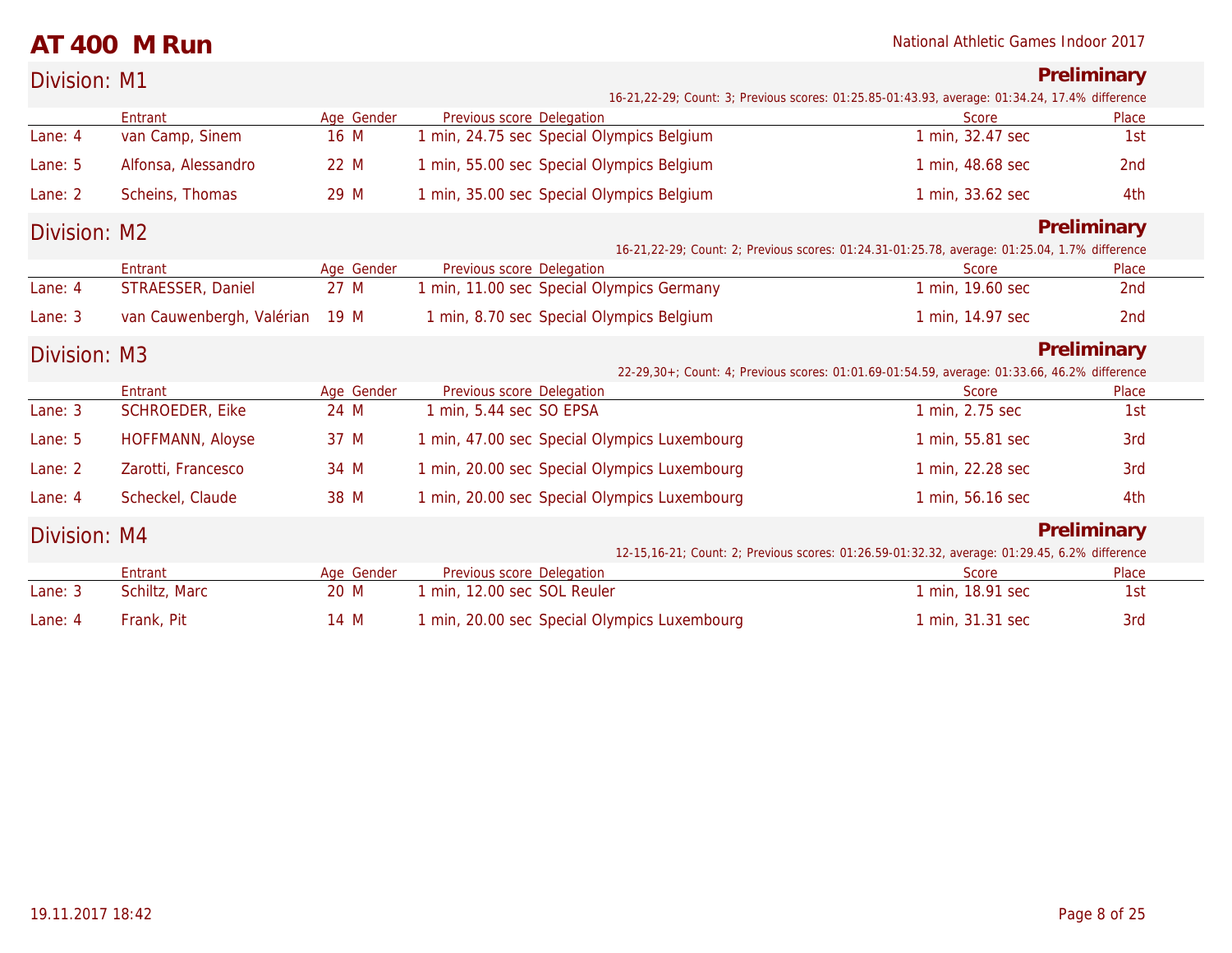### **AT 400 M Run** National Athletic Games Indoor 2017

| Division: M1 |                           |            |                             |                                              |                                                                                                   | Preliminary     |  |
|--------------|---------------------------|------------|-----------------------------|----------------------------------------------|---------------------------------------------------------------------------------------------------|-----------------|--|
|              |                           |            |                             |                                              | 16-21,22-29; Count: 3; Previous scores: 01:25.85-01:43.93, average: 01:34.24, 17.4% difference    |                 |  |
|              | Entrant                   | Age Gender | Previous score Delegation   |                                              | Score                                                                                             | Place           |  |
| Lane: 4      | van Camp, Sinem           | 16 M       |                             | 1 min, 24.75 sec Special Olympics Belgium    | 1 min, 32.47 sec                                                                                  | 1st             |  |
| Lane: 5      | Alfonsa, Alessandro       | 22 M       |                             | 1 min, 55.00 sec Special Olympics Belgium    | 1 min, 48.68 sec                                                                                  | 2 <sub>nd</sub> |  |
| Lane: 2      | Scheins, Thomas           | 29 M       |                             | 1 min, 35.00 sec Special Olympics Belgium    | 1 min, 33.62 sec                                                                                  | 4th             |  |
| Division: M2 |                           |            |                             |                                              |                                                                                                   | Preliminary     |  |
|              |                           |            |                             |                                              | 16-21, 22-29; Count: 2; Previous scores: 01: 24.31-01: 25.78, average: 01: 25.04, 1.7% difference |                 |  |
|              | Entrant                   | Age Gender | Previous score Delegation   |                                              | Score                                                                                             | Place           |  |
| Lane: 4      | STRAESSER, Daniel         | 27 M       |                             | min, 11.00 sec Special Olympics Germany      | 1 min, 19.60 sec                                                                                  | 2nd             |  |
| Lane: 3      | van Cauwenbergh, Valérian | 19 M       |                             | 1 min, 8.70 sec Special Olympics Belgium     | 1 min, 14.97 sec                                                                                  | 2nd             |  |
| Division: M3 | Preliminary               |            |                             |                                              |                                                                                                   |                 |  |
|              |                           |            |                             |                                              | 22-29,30+; Count: 4; Previous scores: 01:01.69-01:54.59, average: 01:33.66, 46.2% difference      |                 |  |
|              | Entrant                   | Age Gender | Previous score Delegation   |                                              | Score                                                                                             | Place           |  |
| Lane: 3      | SCHROEDER, Eike           | 24 M       | 1 min, 5.44 sec SO EPSA     |                                              | 1 min, 2.75 sec                                                                                   | 1st             |  |
| Lane: 5      | HOFFMANN, Aloyse          | 37 M       |                             | 1 min, 47.00 sec Special Olympics Luxembourg | 1 min, 55.81 sec                                                                                  | 3rd             |  |
| Lane: 2      | Zarotti, Francesco        | 34 M       |                             | 1 min, 20.00 sec Special Olympics Luxembourg | 1 min, 22.28 sec                                                                                  | 3rd             |  |
| Lane: 4      | Scheckel, Claude          | 38 M       |                             | 1 min, 20.00 sec Special Olympics Luxembourg | 1 min, 56.16 sec                                                                                  | 4th             |  |
| Division: M4 |                           |            |                             |                                              |                                                                                                   | Preliminary     |  |
|              |                           |            |                             |                                              | 12-15,16-21; Count: 2; Previous scores: 01:26.59-01:32.32, average: 01:29.45, 6.2% difference     |                 |  |
|              | Entrant                   | Age Gender | Previous score Delegation   |                                              | Score                                                                                             | Place           |  |
| Lane: 3      | Schiltz, Marc             | 20 M       | 1 min, 12.00 sec SOL Reuler |                                              | 1 min, 18.91 sec                                                                                  | 1st             |  |
| Lane: 4      | Frank, Pit                | 14 M       |                             | 1 min, 20.00 sec Special Olympics Luxembourg | 1 min, 31.31 sec                                                                                  | 3rd             |  |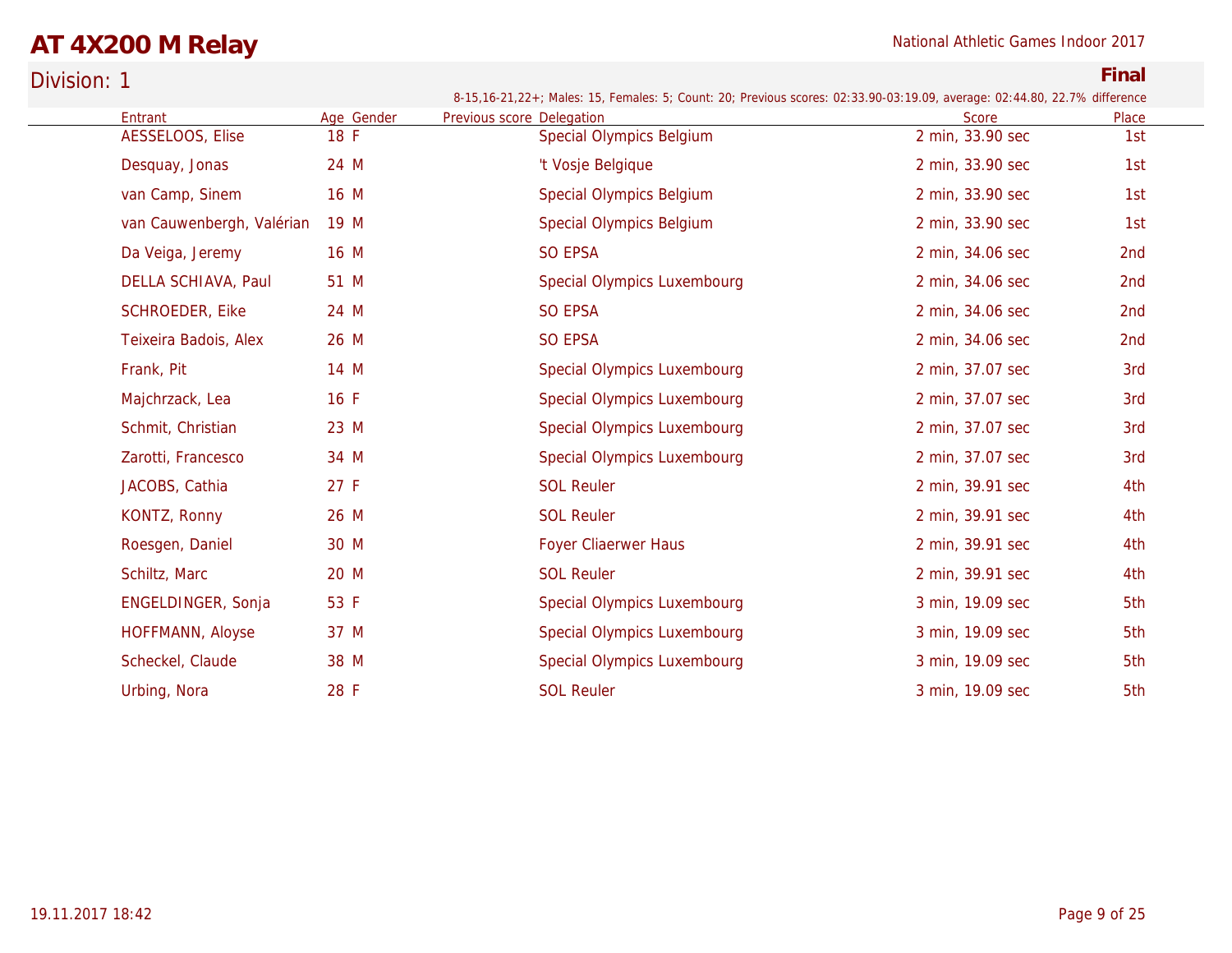# **AT 4X200 M Relay** National Athletic Games Indoor 2017

| Division: 1 |                           |            |                                                                                                                                                        |                  | Final |
|-------------|---------------------------|------------|--------------------------------------------------------------------------------------------------------------------------------------------------------|------------------|-------|
|             | Entrant                   | Age Gender | 8-15,16-21,22+; Males: 15, Females: 5; Count: 20; Previous scores: 02:33.90-03:19.09, average: 02:44.80, 22.7% difference<br>Previous score Delegation | <b>Score</b>     | Place |
|             | AESSELOOS, Elise          | 18 F       | <b>Special Olympics Belgium</b>                                                                                                                        | 2 min, 33.90 sec | 1st   |
|             | Desquay, Jonas            | 24 M       | 't Vosje Belgique                                                                                                                                      | 2 min, 33.90 sec | 1st   |
|             | van Camp, Sinem           | 16 M       | <b>Special Olympics Belgium</b>                                                                                                                        | 2 min, 33.90 sec | 1st   |
|             | van Cauwenbergh, Valérian | 19 M       | <b>Special Olympics Belgium</b>                                                                                                                        | 2 min, 33.90 sec | 1st   |
|             | Da Veiga, Jeremy          | 16 M       | SO EPSA                                                                                                                                                | 2 min, 34.06 sec | 2nd   |
|             | DELLA SCHIAVA, Paul       | 51 M       | Special Olympics Luxembourg                                                                                                                            | 2 min, 34.06 sec | 2nd   |
|             | SCHROEDER, Eike           | 24 M       | <b>SO EPSA</b>                                                                                                                                         | 2 min, 34.06 sec | 2nd   |
|             | Teixeira Badois, Alex     | 26 M       | <b>SO EPSA</b>                                                                                                                                         | 2 min, 34.06 sec | 2nd   |
|             | Frank, Pit                | 14 M       | Special Olympics Luxembourg                                                                                                                            | 2 min, 37.07 sec | 3rd   |
|             | Majchrzack, Lea           | 16F        | Special Olympics Luxembourg                                                                                                                            | 2 min, 37.07 sec | 3rd   |
|             | Schmit, Christian         | 23 M       | Special Olympics Luxembourg                                                                                                                            | 2 min, 37.07 sec | 3rd   |
|             | Zarotti, Francesco        | 34 M       | <b>Special Olympics Luxembourg</b>                                                                                                                     | 2 min, 37.07 sec | 3rd   |
|             | JACOBS, Cathia            | 27 F       | <b>SOL Reuler</b>                                                                                                                                      | 2 min, 39.91 sec | 4th   |
|             | KONTZ, Ronny              | 26 M       | <b>SOL Reuler</b>                                                                                                                                      | 2 min, 39.91 sec | 4th   |
|             | Roesgen, Daniel           | 30 M       | <b>Foyer Cliaerwer Haus</b>                                                                                                                            | 2 min, 39.91 sec | 4th   |
|             | Schiltz, Marc             | 20 M       | <b>SOL Reuler</b>                                                                                                                                      | 2 min, 39.91 sec | 4th   |
|             | ENGELDINGER, Sonja        | 53 F       | Special Olympics Luxembourg                                                                                                                            | 3 min, 19.09 sec | 5th   |
|             | HOFFMANN, Aloyse          | 37 M       | Special Olympics Luxembourg                                                                                                                            | 3 min, 19.09 sec | 5th   |
|             | Scheckel, Claude          | 38 M       | <b>Special Olympics Luxembourg</b>                                                                                                                     | 3 min, 19.09 sec | 5th   |
|             | Urbing, Nora              | 28 F       | <b>SOL Reuler</b>                                                                                                                                      | 3 min, 19.09 sec | 5th   |
|             |                           |            |                                                                                                                                                        |                  |       |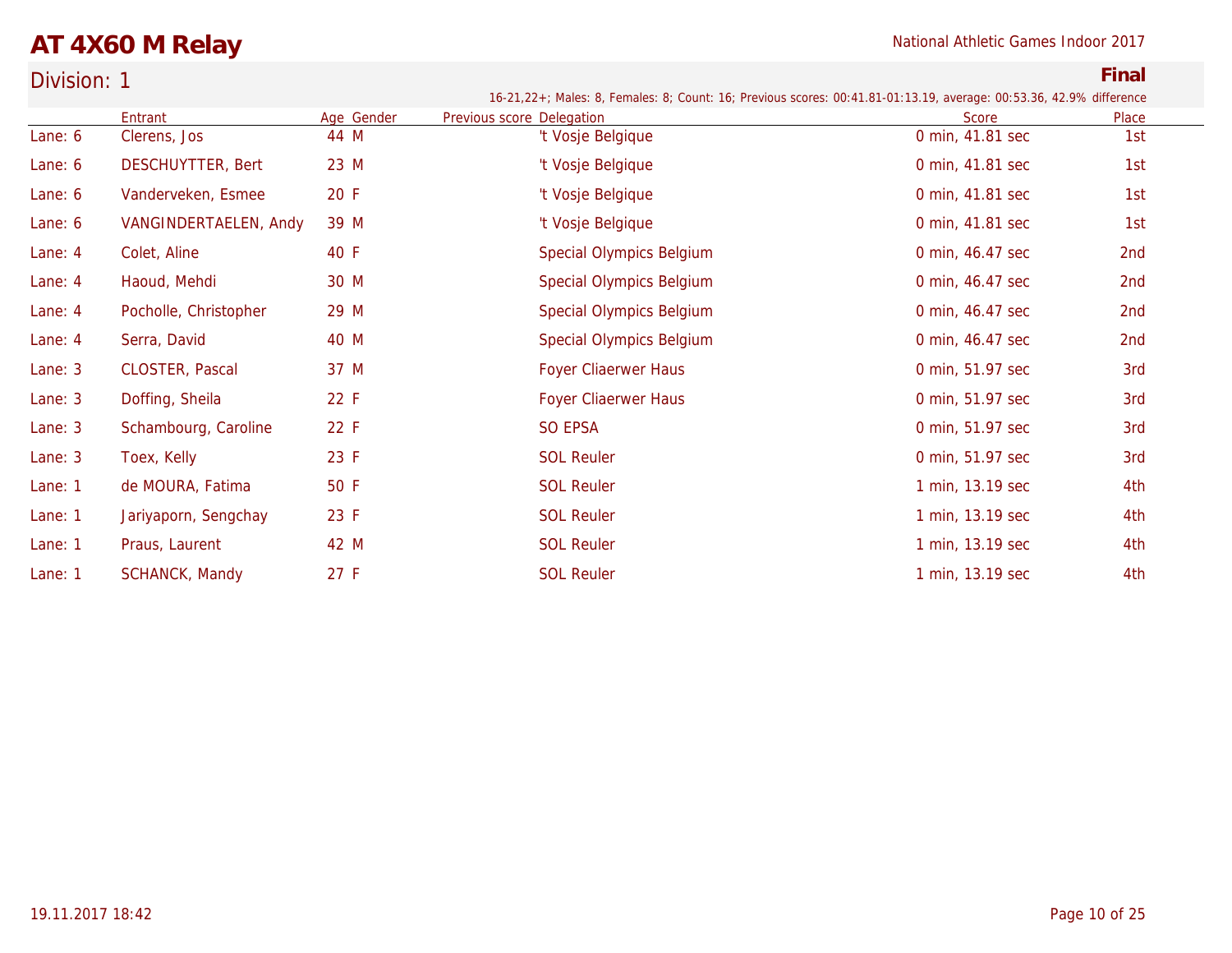# **AT 4X60 M Relay** National Athletic Games Indoor 2017

| Division: 1 |                          |            |                                                                                                                     |                  | Final |
|-------------|--------------------------|------------|---------------------------------------------------------------------------------------------------------------------|------------------|-------|
|             |                          |            | 16-21,22+; Males: 8, Females: 8; Count: 16; Previous scores: 00:41.81-01:13.19, average: 00:53.36, 42.9% difference |                  |       |
|             | Entrant                  | Age Gender | Previous score Delegation                                                                                           | Score            | Place |
| Lane: 6     | Clerens, Jos             | 44 M       | 't Vosje Belgique                                                                                                   | 0 min, 41.81 sec | 1st   |
| Lane: 6     | <b>DESCHUYTTER, Bert</b> | 23 M       | 't Vosje Belgique                                                                                                   | 0 min, 41.81 sec | 1st   |
| Lane: 6     | Vanderveken, Esmee       | 20 F       | 't Vosje Belgique                                                                                                   | 0 min, 41.81 sec | 1st   |
| Lane: 6     | VANGINDERTAELEN, Andy    | 39 M       | 't Vosje Belgique                                                                                                   | 0 min, 41.81 sec | 1st   |
| Lane: 4     | Colet, Aline             | 40 F       | Special Olympics Belgium                                                                                            | 0 min, 46.47 sec | 2nd   |
| Lane: 4     | Haoud, Mehdi             | 30 M       | Special Olympics Belgium                                                                                            | 0 min, 46.47 sec | 2nd   |
| Lane: 4     | Pocholle, Christopher    | 29 M       | Special Olympics Belgium                                                                                            | 0 min, 46.47 sec | 2nd   |
| Lane: 4     | Serra, David             | 40 M       | Special Olympics Belgium                                                                                            | 0 min, 46.47 sec | 2nd   |
| Lane: 3     | CLOSTER, Pascal          | 37 M       | <b>Foyer Cliaerwer Haus</b>                                                                                         | 0 min, 51.97 sec | 3rd   |
| Lane: 3     | Doffing, Sheila          | 22 F       | Foyer Cliaerwer Haus                                                                                                | 0 min, 51.97 sec | 3rd   |
| Lane: 3     | Schambourg, Caroline     | 22 F       | SO EPSA                                                                                                             | 0 min, 51.97 sec | 3rd   |
| Lane: 3     | Toex, Kelly              | 23 F       | <b>SOL Reuler</b>                                                                                                   | 0 min, 51.97 sec | 3rd   |
| Lane: 1     | de MOURA, Fatima         | 50 F       | <b>SOL Reuler</b>                                                                                                   | 1 min, 13.19 sec | 4th   |
| Lane: 1     | Jariyaporn, Sengchay     | 23 F       | <b>SOL Reuler</b>                                                                                                   | 1 min, 13.19 sec | 4th   |
| Lane: 1     | Praus, Laurent           | 42 M       | <b>SOL Reuler</b>                                                                                                   | 1 min, 13.19 sec | 4th   |
| Lane: 1     | <b>SCHANCK, Mandy</b>    | 27 F       | <b>SOL Reuler</b>                                                                                                   | 1 min, 13.19 sec | 4th   |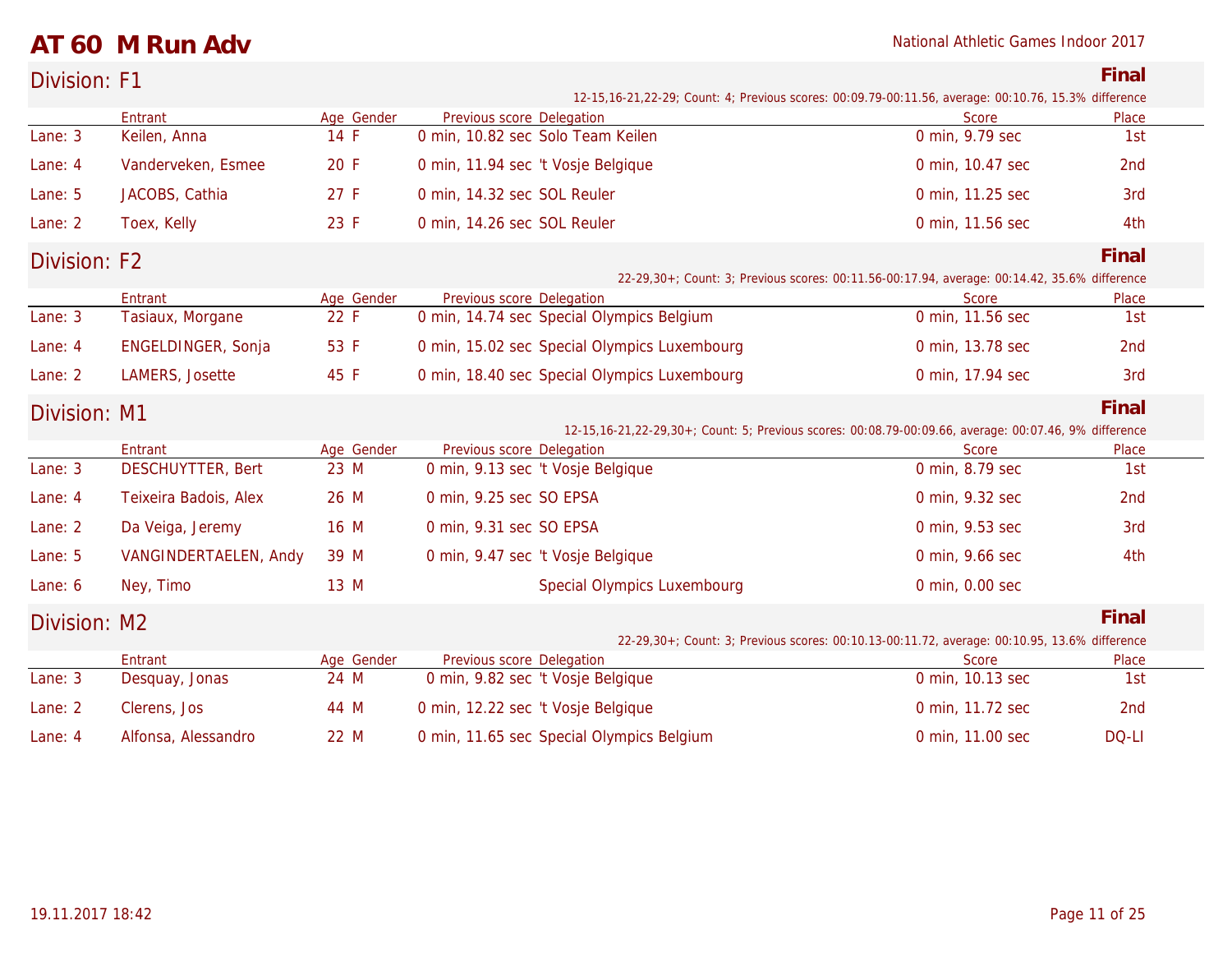### **AT 60 M Run Adv** National Athletic Games Indoor 2017

| Division: F1 |                                     |                    |                                                                                                          |                                                                                              | Final        |  |
|--------------|-------------------------------------|--------------------|----------------------------------------------------------------------------------------------------------|----------------------------------------------------------------------------------------------|--------------|--|
|              |                                     |                    | 12-15, 16-21, 22-29; Count: 4; Previous scores: 00:09.79-00:11.56, average: 00:10.76, 15.3% difference   |                                                                                              |              |  |
| Lane: 3      | Entrant<br>Keilen, Anna             | Age Gender<br>14 F | Previous score Delegation<br>0 min, 10.82 sec Solo Team Keilen                                           | Score<br>0 min, 9.79 sec                                                                     | Place<br>1st |  |
|              |                                     |                    |                                                                                                          |                                                                                              |              |  |
| Lane: 4      | Vanderveken, Esmee                  | 20 F               | 0 min, 11.94 sec 't Vosje Belgique                                                                       | 0 min, 10.47 sec                                                                             | 2nd          |  |
| Lane: 5      | JACOBS, Cathia                      | 27 F               | 0 min, 14.32 sec SOL Reuler                                                                              | 0 min, 11.25 sec                                                                             | 3rd          |  |
| Lane: 2      | Toex, Kelly                         | 23 F               | 0 min, 14.26 sec SOL Reuler                                                                              | 0 min, 11.56 sec                                                                             | 4th          |  |
| Division: F2 |                                     |                    |                                                                                                          | 22-29,30+; Count: 3; Previous scores: 00:11.56-00:17.94, average: 00:14.42, 35.6% difference | Final        |  |
|              | Entrant                             | Age Gender         | Previous score Delegation                                                                                | Score                                                                                        | Place        |  |
| Lane: 3      | Tasiaux, Morgane                    | 22 F               | 0 min, 14.74 sec Special Olympics Belgium                                                                | 0 min, 11.56 sec                                                                             | 1st          |  |
| Lane: 4      | ENGELDINGER, Sonja                  | 53 F               | 0 min, 15.02 sec Special Olympics Luxembourg                                                             | 0 min, 13.78 sec                                                                             | 2nd          |  |
| Lane: 2      | LAMERS, Josette                     | 45 F               | 0 min, 18.40 sec Special Olympics Luxembourg                                                             | 0 min, 17.94 sec                                                                             | 3rd          |  |
| Division: M1 |                                     |                    |                                                                                                          |                                                                                              | Final        |  |
|              |                                     |                    | 12-15, 16-21, 22-29, 30+; Count: 5; Previous scores: 00:08.79-00:09.66, average: 00:07.46, 9% difference |                                                                                              |              |  |
| Lane: 3      | Entrant<br><b>DESCHUYTTER, Bert</b> | Age Gender<br>23 M | Previous score Delegation<br>0 min, 9.13 sec 't Vosje Belgique                                           | <b>Score</b><br>0 min, 8.79 sec                                                              | Place<br>1st |  |
|              |                                     |                    |                                                                                                          |                                                                                              |              |  |
| Lane: 4      | Teixeira Badois, Alex               | 26 M               | 0 min, 9.25 sec SO EPSA                                                                                  | 0 min, 9.32 sec                                                                              | 2nd          |  |
| Lane: 2      | Da Veiga, Jeremy                    | 16 M               | 0 min, 9.31 sec SO EPSA                                                                                  | 0 min, 9.53 sec                                                                              | 3rd          |  |
| Lane: 5      | VANGINDERTAELEN, Andy               | 39 M               | 0 min, 9.47 sec 't Vosje Belgique                                                                        | 0 min, 9.66 sec                                                                              | 4th          |  |
| Lane: 6      | Ney, Timo                           | 13 M               | <b>Special Olympics Luxembourg</b>                                                                       | 0 min, 0.00 sec                                                                              |              |  |
| Division: M2 |                                     |                    |                                                                                                          |                                                                                              | Final        |  |
|              |                                     |                    |                                                                                                          | 22-29,30+; Count: 3; Previous scores: 00:10.13-00:11.72, average: 00:10.95, 13.6% difference |              |  |
|              | Entrant                             | Age Gender         | Previous score Delegation                                                                                | Score                                                                                        | Place        |  |
| Lane: 3      | Desquay, Jonas                      | 24 M               | 0 min, 9.82 sec 't Vosje Belgique                                                                        | 0 min, 10.13 sec                                                                             | 1st          |  |
| Lane: 2      | Clerens, Jos                        | 44 M               | 0 min, 12.22 sec 't Vosje Belgique                                                                       | 0 min, 11.72 sec                                                                             | 2nd          |  |
| Lane: 4      | Alfonsa, Alessandro                 | 22 M               | 0 min, 11.65 sec Special Olympics Belgium                                                                | 0 min, 11.00 sec                                                                             | DQ-LI        |  |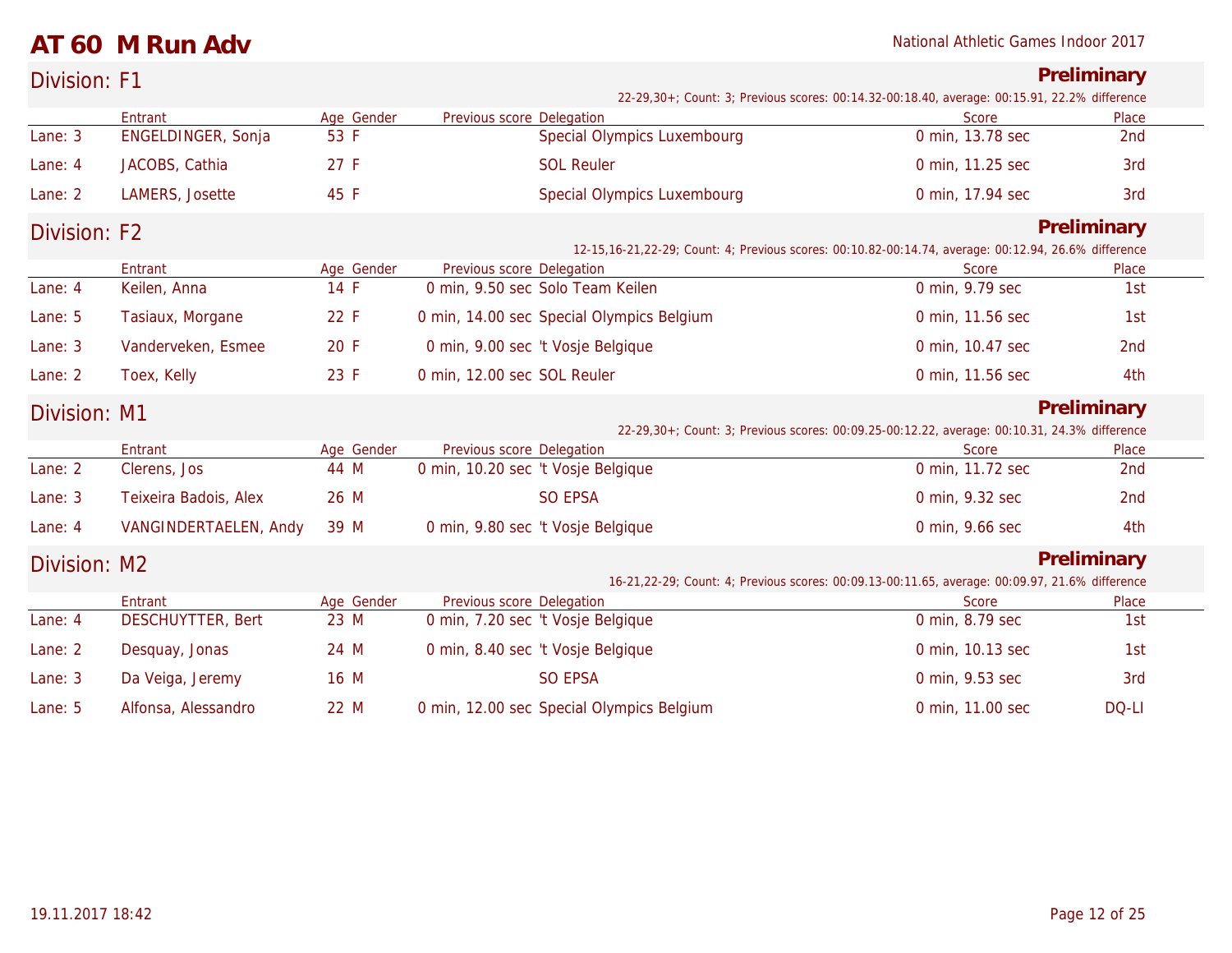### **AT 60 M Run Adv** National Athletic Games Indoor 2017

| Division: F1 |                               |                    |                                                                 |                                           |                                                                                                      | Preliminary     |
|--------------|-------------------------------|--------------------|-----------------------------------------------------------------|-------------------------------------------|------------------------------------------------------------------------------------------------------|-----------------|
|              |                               |                    |                                                                 |                                           | 22-29,30+; Count: 3; Previous scores: 00:14.32-00:18.40, average: 00:15.91, 22.2% difference         |                 |
| Lane: 3      | Entrant<br>ENGELDINGER, Sonja | Age Gender<br>53 F | Previous score Delegation                                       | <b>Special Olympics Luxembourg</b>        | Score<br>0 min, 13.78 sec                                                                            | Place<br>2nd    |
| Lane: 4      | JACOBS, Cathia                | 27 F               |                                                                 | <b>SOL Reuler</b>                         | 0 min, 11.25 sec                                                                                     | 3rd             |
| Lane: 2      | LAMERS, Josette               | 45 F               |                                                                 | Special Olympics Luxembourg               | 0 min, 17.94 sec                                                                                     | 3rd             |
| Division: F2 |                               |                    |                                                                 |                                           | 12-15,16-21,22-29; Count: 4; Previous scores: 00:10.82-00:14.74, average: 00:12.94, 26.6% difference | Preliminary     |
|              | Entrant                       | Age Gender         | Previous score Delegation                                       |                                           | Score                                                                                                | Place           |
| Lane: 4      | Keilen, Anna                  | 14 F               |                                                                 | 0 min, 9.50 sec Solo Team Keilen          | 0 min, 9.79 sec                                                                                      | 1st             |
| Lane: 5      | Tasiaux, Morgane              | 22 F               |                                                                 | 0 min, 14.00 sec Special Olympics Belgium | 0 min, 11.56 sec                                                                                     | 1st             |
| Lane: 3      | Vanderveken, Esmee            | 20 F               |                                                                 | 0 min, 9.00 sec 't Vosje Belgique         | 0 min, 10.47 sec                                                                                     | 2nd             |
| Lane: 2      | Toex, Kelly                   | 23 F               | 0 min, 12.00 sec SOL Reuler                                     |                                           | 0 min, 11.56 sec                                                                                     | 4th             |
| Division: M1 |                               |                    |                                                                 |                                           |                                                                                                      | Preliminary     |
|              |                               |                    |                                                                 |                                           | 22-29,30+; Count: 3; Previous scores: 00:09.25-00:12.22, average: 00:10.31, 24.3% difference         |                 |
| Lane: 2      | Entrant<br>Clerens, Jos       | Age Gender<br>44 M | Previous score Delegation<br>0 min, 10.20 sec 't Vosje Belgique |                                           | Score<br>0 min, 11.72 sec                                                                            | Place<br>2nd    |
| Lane: 3      | Teixeira Badois, Alex         | 26 M               |                                                                 | <b>SO EPSA</b>                            | 0 min, 9.32 sec                                                                                      | 2 <sub>nd</sub> |
| Lane: 4      | VANGINDERTAELEN, Andy         | 39 M               |                                                                 | 0 min, 9.80 sec 't Vosje Belgique         | 0 min, 9.66 sec                                                                                      | 4th             |
| Division: M2 |                               |                    |                                                                 |                                           | 16-21,22-29; Count: 4; Previous scores: 00:09.13-00:11.65, average: 00:09.97, 21.6% difference       | Preliminary     |
|              | Entrant                       | Age Gender         | Previous score Delegation                                       |                                           | Score                                                                                                | Place           |
| Lane: 4      | <b>DESCHUYTTER, Bert</b>      | 23 M               |                                                                 | 0 min, 7.20 sec 't Vosje Belgique         | 0 min, 8.79 sec                                                                                      | 1st             |
| Lane: 2      | Desquay, Jonas                | 24 M               |                                                                 | 0 min, 8.40 sec 't Vosje Belgique         | 0 min, 10.13 sec                                                                                     | 1st             |
| Lane: 3      | Da Veiga, Jeremy              | 16 M               |                                                                 | <b>SO EPSA</b>                            | 0 min, 9.53 sec                                                                                      | 3rd             |
| Lane: 5      | Alfonsa, Alessandro           | 22 M               |                                                                 | 0 min, 12.00 sec Special Olympics Belgium | 0 min, 11.00 sec                                                                                     | DQ-LI           |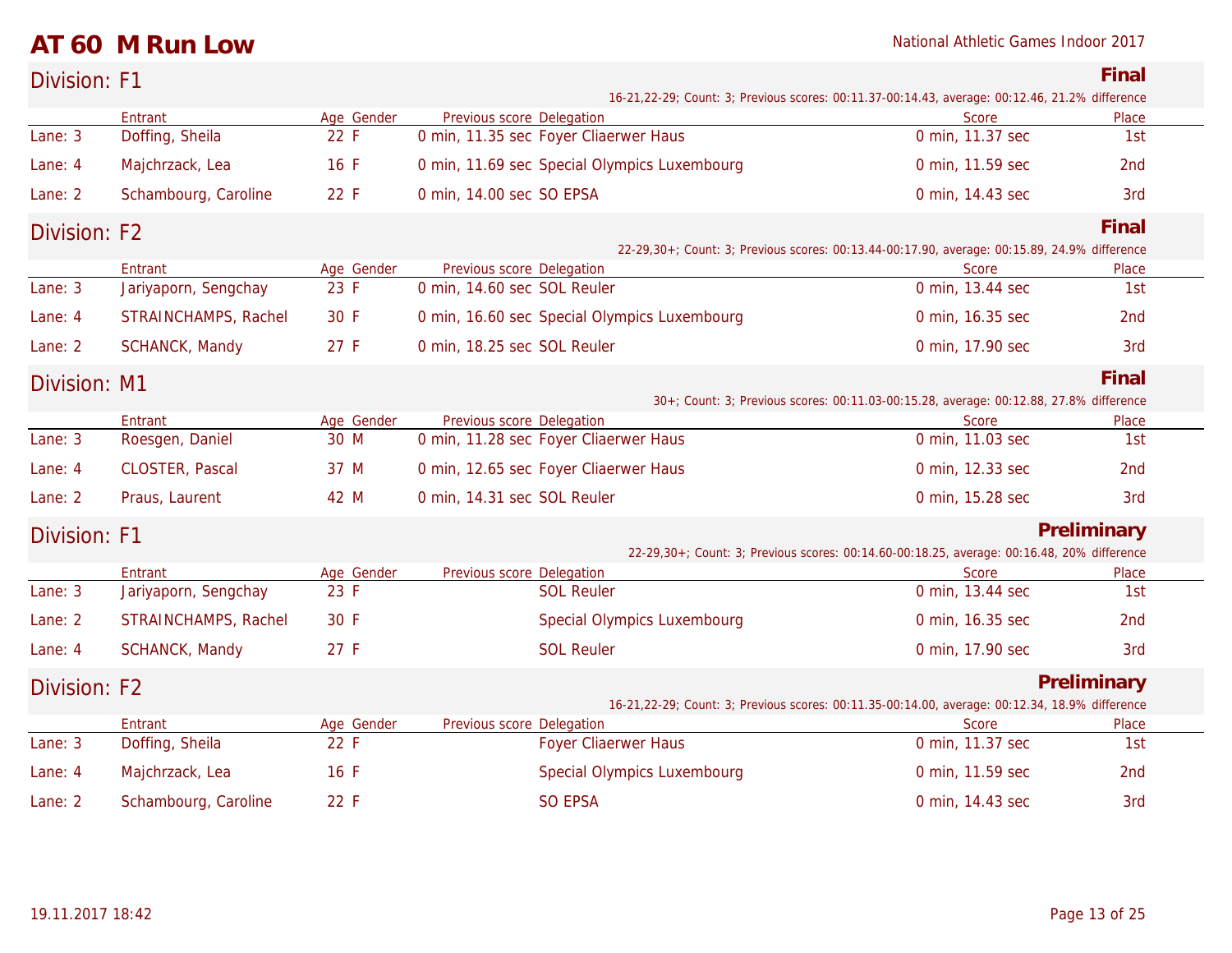### **AT 60 M Run Low** National Athletic Games Indoor 2017

| Division: F1 |                            |                    |                             |                                              |                                                                                                          | Final           |
|--------------|----------------------------|--------------------|-----------------------------|----------------------------------------------|----------------------------------------------------------------------------------------------------------|-----------------|
|              | Entrant                    | Age Gender         | Previous score Delegation   |                                              | 16-21, 22-29; Count: 3; Previous scores: 00:11.37-00:14.43, average: 00:12.46, 21.2% difference<br>Score | Place           |
| Lane: 3      | Doffing, Sheila            | 22 F               |                             | 0 min, 11.35 sec Foyer Cliaerwer Haus        | 0 min, 11.37 sec                                                                                         | 1st             |
| Lane: 4      | Majchrzack, Lea            | 16 F               |                             | 0 min, 11.69 sec Special Olympics Luxembourg | 0 min, 11.59 sec                                                                                         | 2nd             |
| Lane: 2      | Schambourg, Caroline       | 22 F               | 0 min, 14.00 sec SO EPSA    |                                              | 0 min, 14.43 sec                                                                                         | 3rd             |
| Division: F2 |                            |                    |                             |                                              |                                                                                                          | Final           |
|              |                            |                    |                             |                                              | 22-29,30+; Count: 3; Previous scores: 00:13.44-00:17.90, average: 00:15.89, 24.9% difference             |                 |
|              | Entrant                    | Age Gender         | Previous score Delegation   |                                              | Score                                                                                                    | Place           |
| Lane: 3      | Jariyaporn, Sengchay       | 23 F               | 0 min, 14.60 sec SOL Reuler |                                              | 0 min, 13.44 sec                                                                                         | 1st             |
| Lane: 4      | STRAINCHAMPS, Rachel       | 30 F               |                             | 0 min, 16.60 sec Special Olympics Luxembourg | 0 min, 16.35 sec                                                                                         | 2nd             |
| Lane: 2      | SCHANCK, Mandy             | 27 F               | 0 min, 18.25 sec SOL Reuler |                                              | 0 min, 17.90 sec                                                                                         | 3rd             |
| Division: M1 |                            |                    |                             |                                              |                                                                                                          | Final           |
|              |                            |                    |                             |                                              | 30+; Count: 3; Previous scores: 00:11.03-00:15.28, average: 00:12.88, 27.8% difference                   |                 |
| Lane: 3      | Entrant<br>Roesgen, Daniel | Age Gender<br>30 M | Previous score Delegation   | 0 min, 11.28 sec Foyer Cliaerwer Haus        | <b>Score</b><br>0 min, 11.03 sec                                                                         | Place<br>1st    |
|              |                            |                    |                             |                                              |                                                                                                          |                 |
| Lane: 4      | CLOSTER, Pascal            | 37 M               |                             | 0 min, 12.65 sec Foyer Cliaerwer Haus        | 0 min, 12.33 sec                                                                                         | 2nd             |
| Lane: 2      | Praus, Laurent             | 42 M               | 0 min, 14.31 sec SOL Reuler |                                              | 0 min, 15.28 sec                                                                                         | 3rd             |
| Division: F1 |                            |                    |                             |                                              |                                                                                                          | Preliminary     |
|              | Entrant                    | Age Gender         | Previous score Delegation   |                                              | 22-29,30+; Count: 3; Previous scores: 00:14.60-00:18.25, average: 00:16.48, 20% difference<br>Score      | Place           |
| Lane: 3      | Jariyaporn, Sengchay       | 23 F               |                             | <b>SOL Reuler</b>                            | 0 min, 13.44 sec                                                                                         | 1st             |
| Lane: 2      | STRAINCHAMPS, Rachel       | 30 F               |                             | Special Olympics Luxembourg                  | 0 min, 16.35 sec                                                                                         | 2 <sub>nd</sub> |
| Lane: 4      | SCHANCK, Mandy             | 27 F               |                             | <b>SOL Reuler</b>                            | 0 min, 17.90 sec                                                                                         | 3rd             |
| Division: F2 |                            |                    |                             |                                              |                                                                                                          | Preliminary     |
|              |                            |                    |                             |                                              | 16-21, 22-29; Count: 3; Previous scores: 00:11.35-00:14.00, average: 00:12.34, 18.9% difference          |                 |
|              | Entrant                    | Age Gender         | Previous score Delegation   |                                              | Score                                                                                                    | Place           |
| Lane: 3      | Doffing, Sheila            | 22 F               |                             | <b>Foyer Cliaerwer Haus</b>                  | 0 min, 11.37 sec                                                                                         | 1st             |
| Lane: 4      | Majchrzack, Lea            | 16 F               |                             | Special Olympics Luxembourg                  | 0 min, 11.59 sec                                                                                         | 2nd             |
| Lane: 2      | Schambourg, Caroline       | 22 F               |                             | <b>SO EPSA</b>                               | 0 min, 14.43 sec                                                                                         | 3rd             |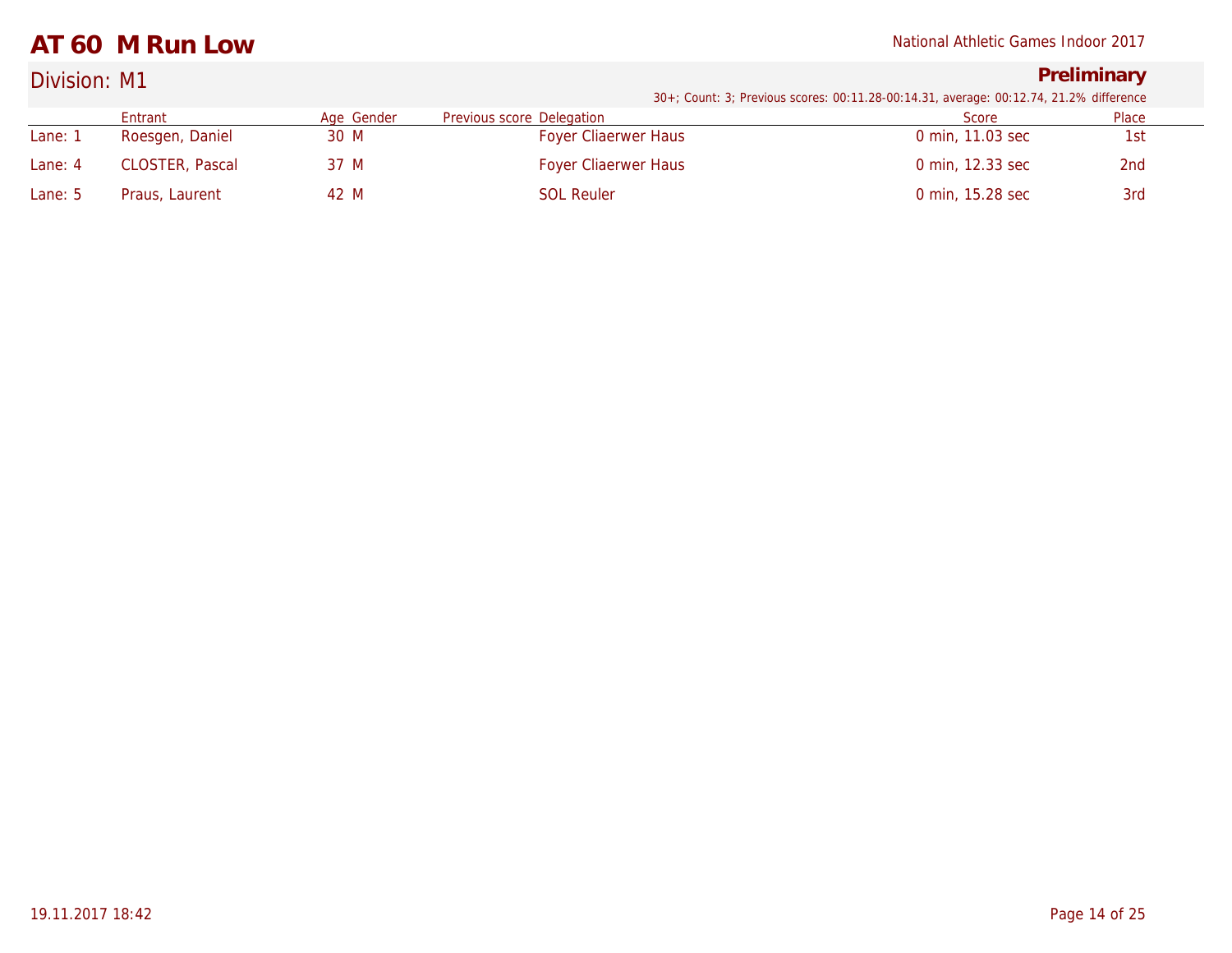### **AT 60 M Run Low** National Athletic Games Indoor 2017

## Division: M1 **Preliminary**

|         | Entrant                | Age Gender | Previous score Delegation   | Score            | Place           |
|---------|------------------------|------------|-----------------------------|------------------|-----------------|
| Lane:   | Roesgen, Daniel        | 30 M       | <b>Foyer Cliaerwer Haus</b> | 0 min. 11.03 sec | 1st             |
| Lane: 4 | <b>CLOSTER, Pascal</b> | 37 M       | <b>Foyer Cliaerwer Haus</b> | 0 min. 12.33 sec | 2 <sub>nd</sub> |
| Lane: 5 | Praus, Laurent         | 42 M       | <b>SOL Reuler</b>           | 0 min, 15.28 sec | 3rd             |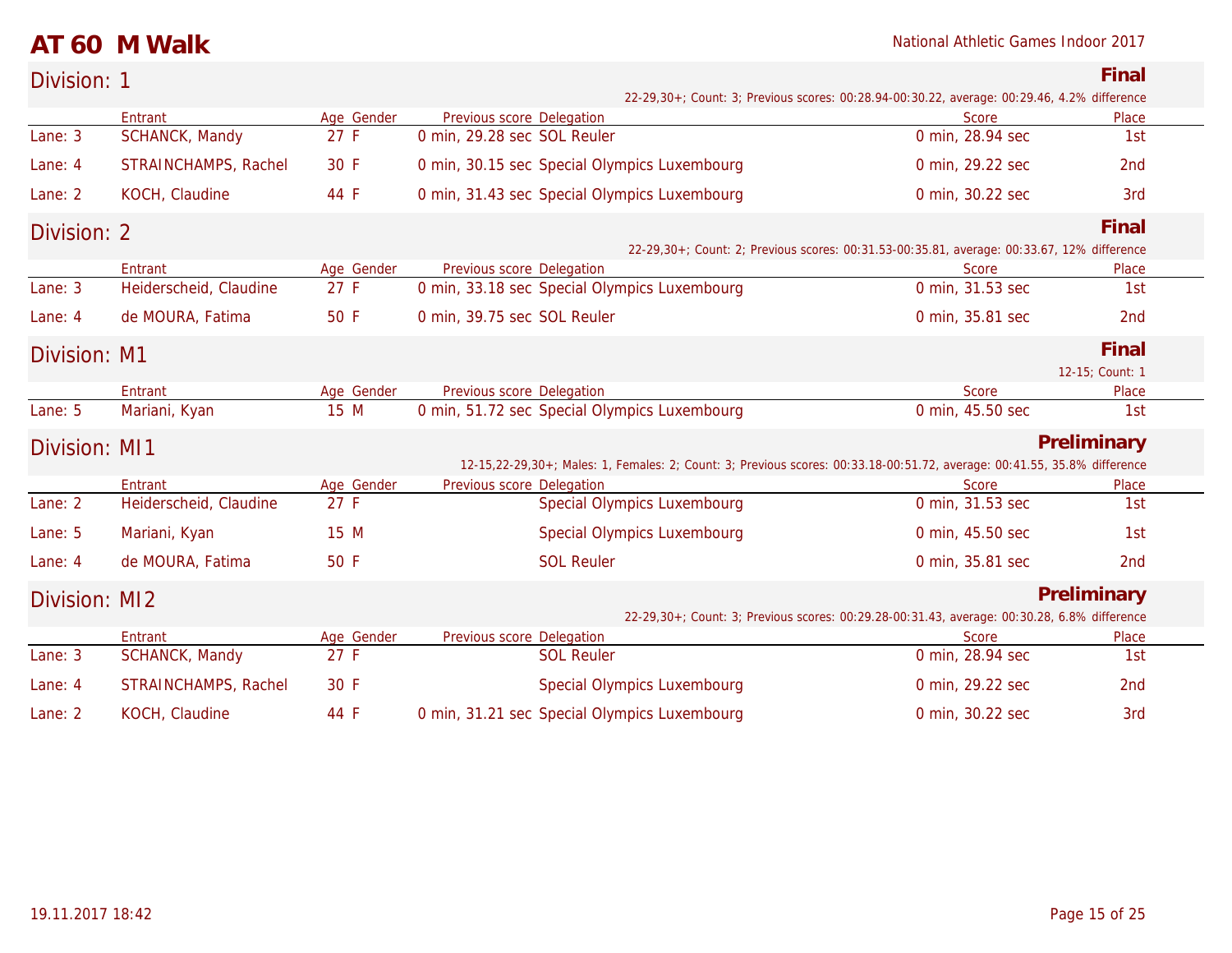### **AT 60 M Walk** National Athletic Games Indoor 2017

| Division: 1   |                        |            |                             |                                                                                                                          |                                                                                             | Final           |
|---------------|------------------------|------------|-----------------------------|--------------------------------------------------------------------------------------------------------------------------|---------------------------------------------------------------------------------------------|-----------------|
|               |                        |            |                             |                                                                                                                          | 22-29,30+; Count: 3; Previous scores: 00:28.94-00:30.22, average: 00:29.46, 4.2% difference |                 |
|               | Entrant                | Age Gender | Previous score Delegation   |                                                                                                                          | Score                                                                                       | Place           |
| Lane: 3       | SCHANCK, Mandy         | 27 F       | 0 min, 29.28 sec SOL Reuler |                                                                                                                          | 0 min, 28.94 sec                                                                            | 1st             |
| Lane: 4       | STRAINCHAMPS, Rachel   | 30 F       |                             | 0 min, 30.15 sec Special Olympics Luxembourg                                                                             | 0 min, 29.22 sec                                                                            | 2nd             |
| Lane: 2       | KOCH, Claudine         | 44 F       |                             | 0 min, 31.43 sec Special Olympics Luxembourg                                                                             | 0 min, 30.22 sec                                                                            | 3rd             |
| Division: 2   |                        |            |                             |                                                                                                                          |                                                                                             | Final           |
|               |                        |            |                             |                                                                                                                          | 22-29,30+; Count: 2; Previous scores: 00:31.53-00:35.81, average: 00:33.67, 12% difference  |                 |
|               | Entrant                | Age Gender | Previous score Delegation   |                                                                                                                          | Score                                                                                       | Place           |
| Lane: 3       | Heiderscheid, Claudine | 27 F       |                             | 0 min, 33.18 sec Special Olympics Luxembourg                                                                             | 0 min, 31.53 sec                                                                            | 1st             |
| Lane: 4       | de MOURA, Fatima       | 50 F       | 0 min, 39.75 sec SOL Reuler |                                                                                                                          | 0 min, 35.81 sec                                                                            | 2 <sub>nd</sub> |
| Division: M1  |                        |            |                             |                                                                                                                          |                                                                                             | Final           |
|               |                        |            |                             |                                                                                                                          |                                                                                             | 12-15; Count: 1 |
|               | Entrant                | Age Gender | Previous score Delegation   |                                                                                                                          | Score                                                                                       | Place           |
| Lane: 5       | Mariani, Kyan          | 15 M       |                             | 0 min, 51.72 sec Special Olympics Luxembourg                                                                             | 0 min, 45.50 sec                                                                            | 1st             |
| Division: MI1 |                        |            |                             |                                                                                                                          |                                                                                             | Preliminary     |
|               |                        |            |                             | 12-15,22-29,30+; Males: 1, Females: 2; Count: 3; Previous scores: 00:33.18-00:51.72, average: 00:41.55, 35.8% difference |                                                                                             |                 |
|               | Entrant                | Age Gender | Previous score Delegation   |                                                                                                                          | Score                                                                                       | Place           |
| Lane: 2       | Heiderscheid, Claudine | 27 F       |                             | <b>Special Olympics Luxembourg</b>                                                                                       | 0 min, 31.53 sec                                                                            | 1st             |
| Lane: 5       | Mariani, Kyan          | 15 M       |                             | <b>Special Olympics Luxembourg</b>                                                                                       | 0 min, 45.50 sec                                                                            | 1st             |
| Lane: 4       | de MOURA, Fatima       | 50 F       |                             | <b>SOL Reuler</b>                                                                                                        | 0 min, 35.81 sec                                                                            | 2 <sub>nd</sub> |
| Division: MI2 |                        |            |                             |                                                                                                                          |                                                                                             | Preliminary     |
|               |                        |            |                             |                                                                                                                          | 22-29,30+; Count: 3; Previous scores: 00:29.28-00:31.43, average: 00:30.28, 6.8% difference |                 |
|               | Entrant                | Age Gender | Previous score Delegation   |                                                                                                                          | <b>Score</b>                                                                                | Place           |
| Lane: 3       | SCHANCK, Mandy         | 27 F       |                             | <b>SOL Reuler</b>                                                                                                        | 0 min, 28.94 sec                                                                            | 1st             |
| Lane: 4       | STRAINCHAMPS, Rachel   | 30 F       |                             | Special Olympics Luxembourg                                                                                              | 0 min, 29.22 sec                                                                            | 2 <sub>nd</sub> |
| Lane: 2       | KOCH, Claudine         | 44 F       |                             | 0 min, 31.21 sec Special Olympics Luxembourg                                                                             | 0 min, 30.22 sec                                                                            | 3rd             |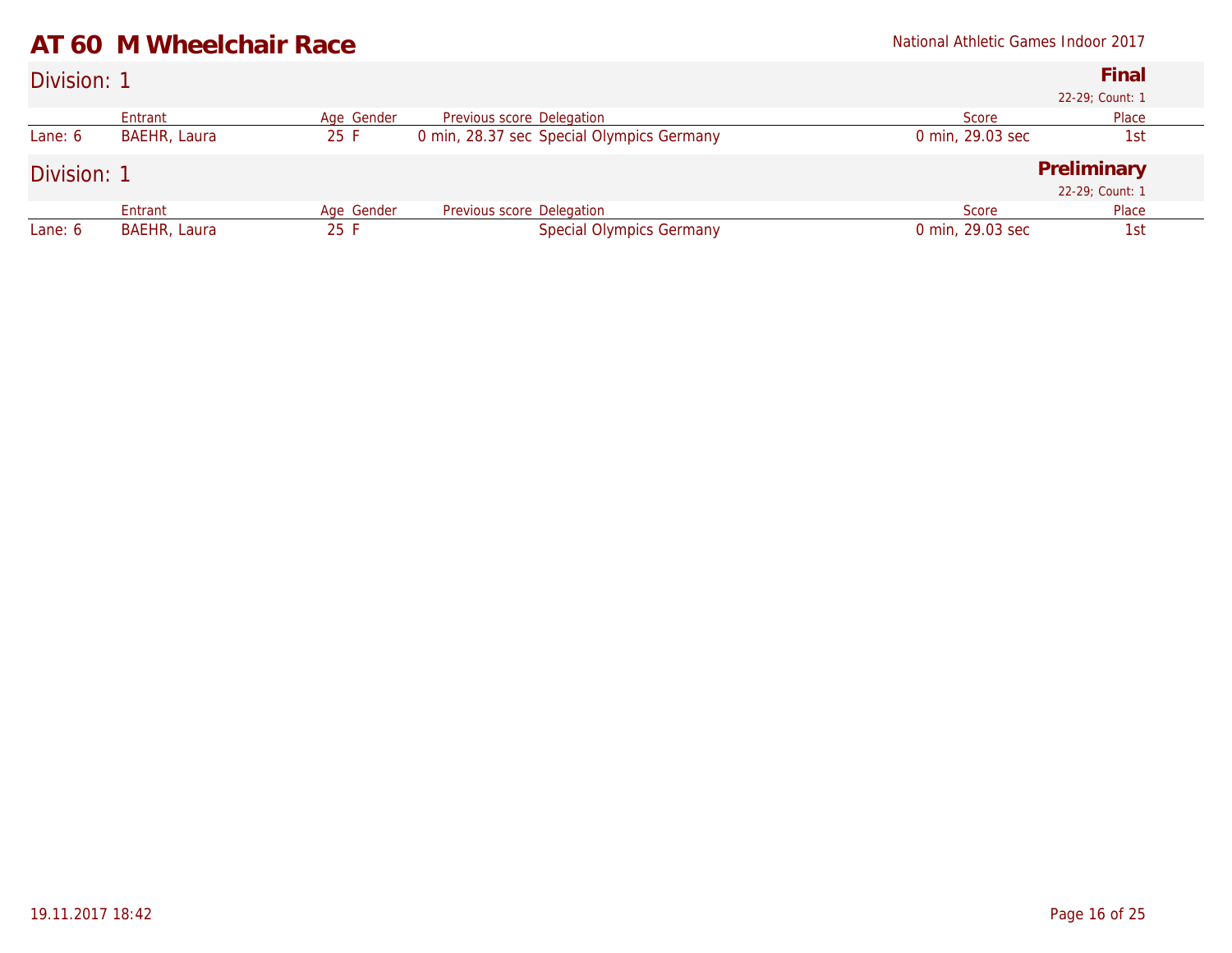|  |  | AT 60 M Wheelchair Race |  |
|--|--|-------------------------|--|
|--|--|-------------------------|--|

### Division: 1 **Final** *22-29; Count: 1* Entrant Mage Gender Previous score Delegation Mage Score Place Place<br>
BAEHR, Laura 25 F 0 min, 28.37 sec Special Olympics Germany 0 min, 29.03 sec 1st Lane: 6 BAEHR, Laura 25 F 0 min, 28.37 sec Special Olympics Germany Division: 1 **Preliminary** *22-29; Count: 1* Entrant Mage Gender Previous score Delegation Mage Score Place Place<br>
BAEHR, Laura 25 F Special Olympics Germany 0 min, 29.03 sec 1st Lane: 6 BAEHR, Laura 25 F Special Olympics Germany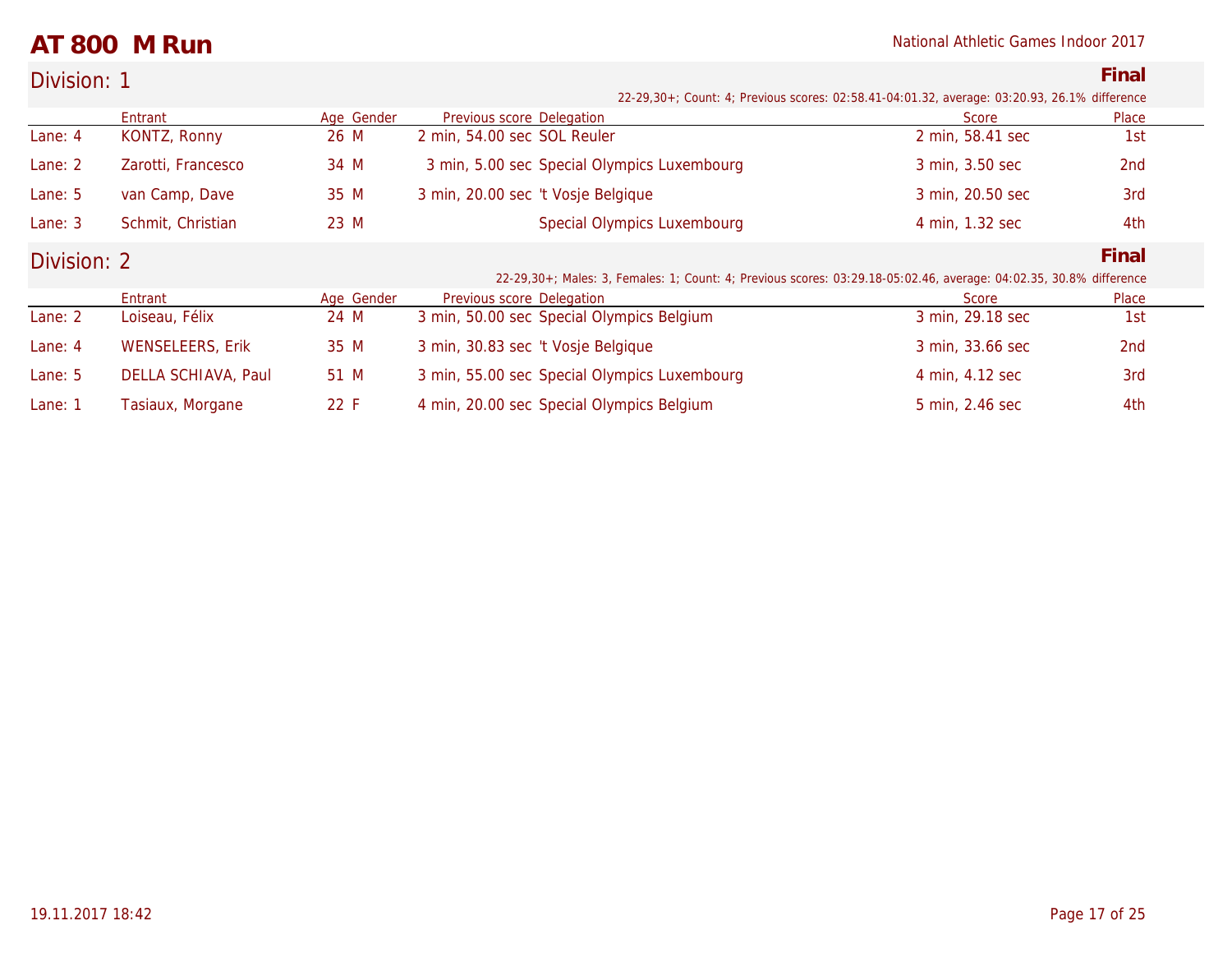### **AT 800 M Run** National Athletic Games Indoor 2017

| Division: 1 | Final                                                                                        |
|-------------|----------------------------------------------------------------------------------------------|
|             | 22-29,30+; Count: 4; Previous scores: 02:58.41-04:01.32, average: 03:20.93, 26.1% difference |

|             |                         |            |                                                                                                                    | $\sim$ , $\sim$ , $\sim$ , $\sim$ , $\sim$ , $\sim$ , $\sim$ , $\sim$ , $\sim$ , $\sim$ , $\sim$ , $\sim$ , $\sim$ , $\sim$ , $\sim$ , $\sim$ , $\sim$ , $\sim$ , $\sim$ , $\sim$ , $\sim$ , $\sim$ , $\sim$ , $\sim$ , $\sim$ , $\sim$ , $\sim$ , $\sim$ , $\sim$ , $\sim$ , $\sim$ , $\sim$ |                 |
|-------------|-------------------------|------------|--------------------------------------------------------------------------------------------------------------------|-----------------------------------------------------------------------------------------------------------------------------------------------------------------------------------------------------------------------------------------------------------------------------------------------|-----------------|
|             | Entrant                 | Age Gender | Previous score Delegation                                                                                          | Score                                                                                                                                                                                                                                                                                         | Place           |
| Lane: $4$   | KONTZ, Ronny            | 26 M       | 2 min, 54.00 sec SOL Reuler                                                                                        | 2 min, 58.41 sec                                                                                                                                                                                                                                                                              | 1st             |
| Lane: 2     | Zarotti, Francesco      | 34 M       | 3 min, 5.00 sec Special Olympics Luxembourg                                                                        | 3 min, 3.50 sec                                                                                                                                                                                                                                                                               | 2nd             |
| Lane: 5     | van Camp, Dave          | 35 M       | 3 min, 20.00 sec 't Vosje Belgique                                                                                 | 3 min, 20.50 sec                                                                                                                                                                                                                                                                              | 3rd             |
| Lane: 3     | Schmit, Christian       | 23 M       | <b>Special Olympics Luxembourg</b>                                                                                 | 4 min, 1.32 sec                                                                                                                                                                                                                                                                               | 4th             |
| Division: 2 |                         |            |                                                                                                                    |                                                                                                                                                                                                                                                                                               | Final           |
|             |                         |            | 22-29,30+; Males: 3, Females: 1; Count: 4; Previous scores: 03:29.18-05:02.46, average: 04:02.35, 30.8% difference |                                                                                                                                                                                                                                                                                               |                 |
|             | Entrant                 | Age Gender | Previous score Delegation                                                                                          | Score                                                                                                                                                                                                                                                                                         | Place           |
| Lane: 2     | Loiseau, Félix          | 24 M       | 3 min, 50.00 sec Special Olympics Belgium                                                                          | 3 min, 29.18 sec                                                                                                                                                                                                                                                                              | 1st             |
| Lane: 4     | <b>WENSELEERS, Erik</b> | 35 M       | 3 min, 30.83 sec 't Vosje Belgique                                                                                 | 3 min, 33.66 sec                                                                                                                                                                                                                                                                              | 2 <sub>nd</sub> |
| Lane: 5     | DELLA SCHIAVA, Paul     | 51 M       | 3 min, 55.00 sec Special Olympics Luxembourg                                                                       | 4 min, 4.12 sec                                                                                                                                                                                                                                                                               | 3rd             |
| Lane: 1     | Tasiaux, Morgane        | 22 F       | 4 min, 20.00 sec Special Olympics Belgium                                                                          | 5 min, 2.46 sec                                                                                                                                                                                                                                                                               | 4th             |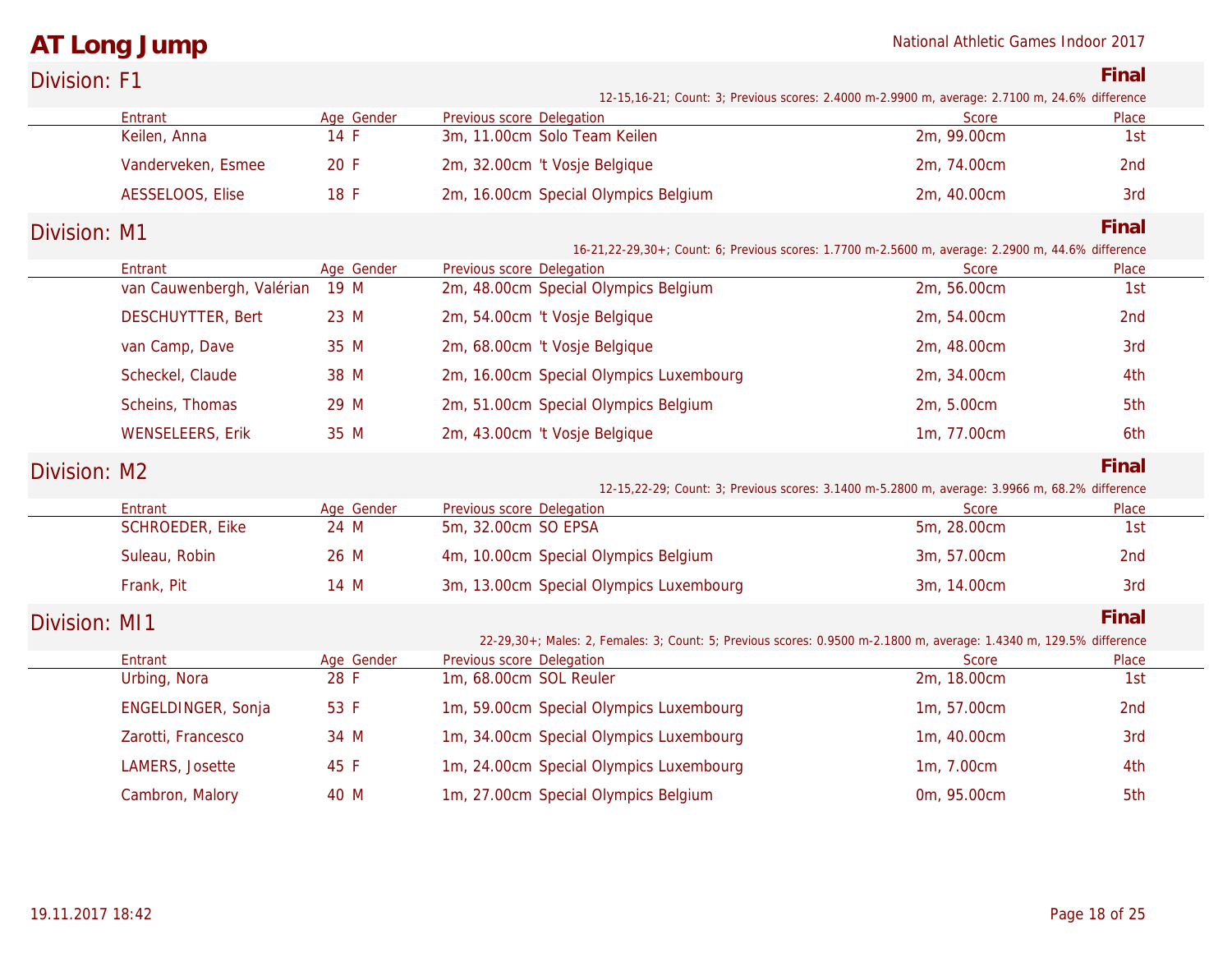## **AT Long Jump** National Athletic Games Indoor 2017

| Division: F1  |                                      |                    |                                                                                                                     |                             | Final        |
|---------------|--------------------------------------|--------------------|---------------------------------------------------------------------------------------------------------------------|-----------------------------|--------------|
|               |                                      |                    | 12-15,16-21; Count: 3; Previous scores: 2.4000 m-2.9900 m, average: 2.7100 m, 24.6% difference                      |                             |              |
|               | Entrant                              | Age Gender         | Previous score Delegation                                                                                           | Score                       | Place        |
|               | Keilen, Anna                         | 14 F               | 3m, 11.00cm Solo Team Keilen                                                                                        | 2m, 99.00cm                 | 1st          |
|               | Vanderveken, Esmee                   | 20 F               | 2m, 32.00cm 't Vosje Belgique                                                                                       | 2m, 74.00cm                 | 2nd          |
|               | AESSELOOS, Elise                     | 18 F               | 2m, 16.00cm Special Olympics Belgium                                                                                | 2m, 40.00cm                 | 3rd          |
| Division: M1  |                                      |                    |                                                                                                                     |                             | Final        |
|               |                                      |                    | 16-21,22-29,30+; Count: 6; Previous scores: 1.7700 m-2.5600 m, average: 2.2900 m, 44.6% difference                  |                             |              |
|               | Entrant<br>van Cauwenbergh, Valérian | Age Gender<br>19 M | Previous score Delegation<br>2m, 48.00cm Special Olympics Belgium                                                   | Score<br>2m, 56.00cm        | Place<br>1st |
|               | <b>DESCHUYTTER, Bert</b>             | 23 M               | 2m, 54.00cm 't Vosje Belgique                                                                                       | 2m, 54.00cm                 | 2nd          |
|               |                                      |                    |                                                                                                                     |                             |              |
|               | van Camp, Dave                       | 35 M               | 2m, 68.00cm 't Vosje Belgique                                                                                       | 2m, 48.00cm                 | 3rd          |
|               | Scheckel, Claude                     | 38 M               | 2m, 16.00cm Special Olympics Luxembourg                                                                             | 2m, 34.00cm                 | 4th          |
|               | Scheins, Thomas                      | 29 M               | 2m, 51.00cm Special Olympics Belgium                                                                                | 2m, 5.00cm                  | 5th          |
|               | <b>WENSELEERS, Erik</b>              | 35 M               | 2m, 43.00cm 't Vosje Belgique                                                                                       | 1m, 77.00cm                 | 6th          |
| Division: M2  |                                      |                    |                                                                                                                     |                             | Final        |
|               |                                      |                    | 12-15,22-29; Count: 3; Previous scores: 3.1400 m-5.2800 m, average: 3.9966 m, 68.2% difference                      |                             |              |
|               | Entrant<br><b>SCHROEDER, Eike</b>    | Age Gender<br>24 M | Previous score Delegation<br>5m, 32.00cm SO EPSA                                                                    | <b>Score</b><br>5m, 28.00cm | Place<br>1st |
|               |                                      |                    |                                                                                                                     |                             |              |
|               | Suleau, Robin                        | 26 M               | 4m, 10.00cm Special Olympics Belgium                                                                                | 3m, 57.00cm                 | 2nd          |
|               | Frank, Pit                           | 14 M               | 3m, 13.00cm Special Olympics Luxembourg                                                                             | 3m, 14.00cm                 | 3rd          |
| Division: MI1 |                                      |                    |                                                                                                                     |                             | Final        |
|               |                                      |                    | 22-29,30+; Males: 2, Females: 3; Count: 5; Previous scores: 0.9500 m-2.1800 m, average: 1.4340 m, 129.5% difference |                             |              |
|               | Entrant                              | Age Gender         | Previous score Delegation                                                                                           | Score                       | Place        |
|               | Urbing, Nora                         | 28 F               | 1m, 68.00cm SOL Reuler                                                                                              | 2m, 18.00cm                 | 1st          |
|               | ENGELDINGER, Sonja                   | 53 F               | 1m, 59.00cm Special Olympics Luxembourg                                                                             | 1m, 57.00cm                 | 2nd          |
|               | Zarotti, Francesco                   | 34 M               | 1m, 34.00cm Special Olympics Luxembourg                                                                             | 1m, 40.00cm                 | 3rd          |
|               | LAMERS, Josette                      | 45 F               | 1m, 24.00cm Special Olympics Luxembourg                                                                             | 1m, 7.00cm                  | 4th          |
|               | Cambron, Malory                      | 40 M               | 1m, 27.00cm Special Olympics Belgium                                                                                | 0m, 95.00cm                 | 5th          |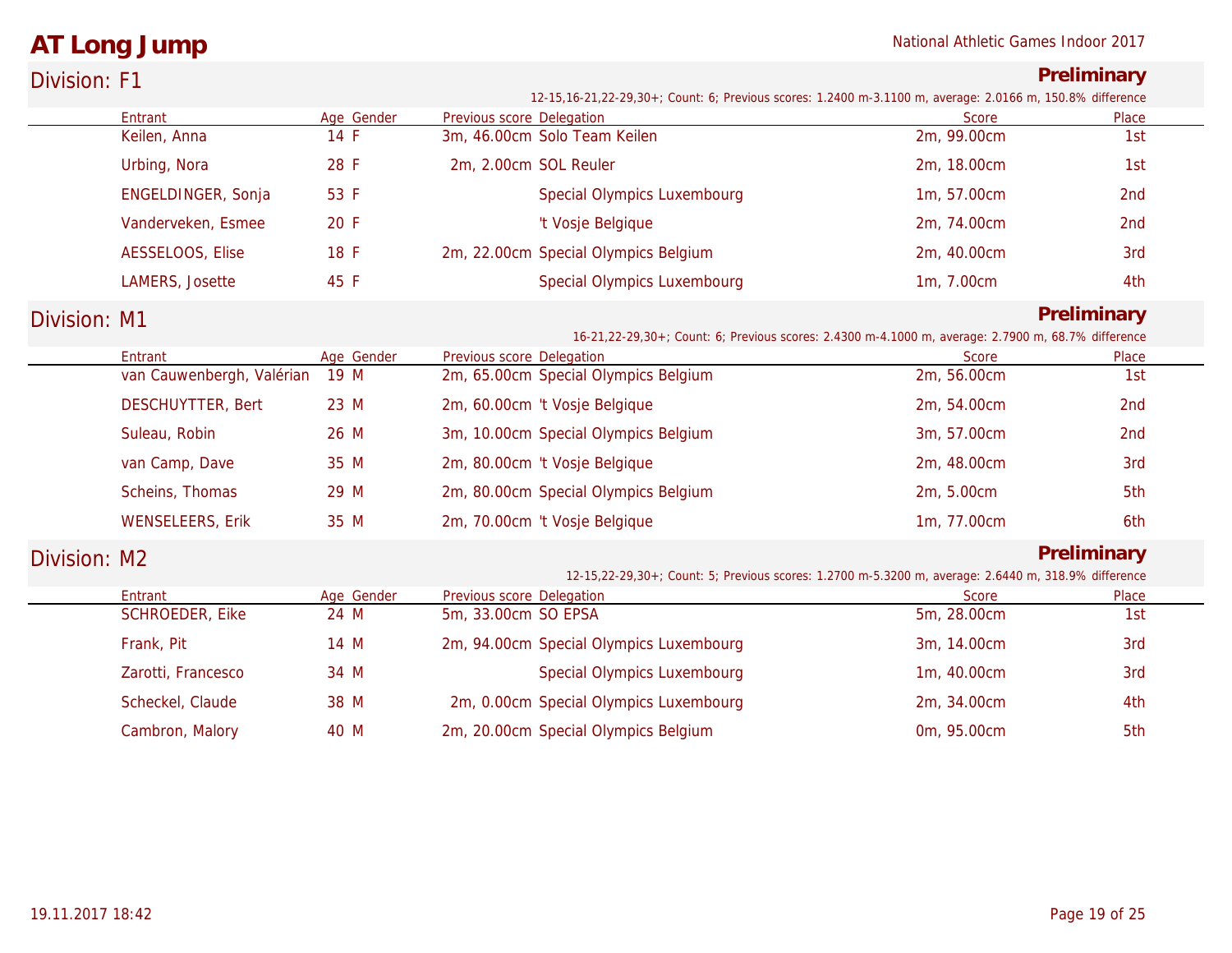### **AT Long Jump** National Athletic Games Indoor 2017

| Division: F1 |                           |            |                                                                                                                                        |             | Preliminary     |
|--------------|---------------------------|------------|----------------------------------------------------------------------------------------------------------------------------------------|-------------|-----------------|
|              | Entrant                   | Age Gender | 12-15,16-21,22-29,30+; Count: 6; Previous scores: 1.2400 m-3.1100 m, average: 2.0166 m, 150.8% difference<br>Previous score Delegation | Score       | Place           |
|              | Keilen, Anna              | 14 F       | 3m, 46.00cm Solo Team Keilen                                                                                                           | 2m, 99.00cm | 1st             |
|              | Urbing, Nora              | 28 F       | 2m, 2.00cm SOL Reuler                                                                                                                  | 2m, 18.00cm | 1st             |
|              | ENGELDINGER, Sonja        | 53 F       | Special Olympics Luxembourg                                                                                                            | 1m, 57.00cm | 2nd             |
|              | Vanderveken, Esmee        | 20 F       | 't Vosje Belgique                                                                                                                      | 2m, 74.00cm | 2 <sub>nd</sub> |
|              | AESSELOOS, Elise          | 18 F       | 2m, 22.00cm Special Olympics Belgium                                                                                                   | 2m, 40.00cm | 3rd             |
|              | LAMERS, Josette           | 45 F       | <b>Special Olympics Luxembourg</b>                                                                                                     | 1m, 7.00cm  | 4th             |
| Division: M1 |                           |            |                                                                                                                                        |             | Preliminary     |
|              | Entrant                   | Age Gender | 16-21, 22-29, 30+; Count: 6; Previous scores: 2.4300 m-4.1000 m, average: 2.7900 m, 68.7% difference<br>Previous score Delegation      | Score       | Place           |
|              | van Cauwenbergh, Valérian | 19 M       | 2m, 65.00cm Special Olympics Belgium                                                                                                   | 2m, 56.00cm | 1st             |
|              | <b>DESCHUYTTER, Bert</b>  | 23 M       | 2m, 60.00cm 't Vosje Belgique                                                                                                          | 2m, 54.00cm | 2nd             |
|              | Suleau, Robin             | 26 M       | 3m, 10.00cm Special Olympics Belgium                                                                                                   | 3m, 57.00cm | 2 <sub>nd</sub> |
|              | van Camp, Dave            | 35 M       | 2m, 80.00cm 't Vosje Belgique                                                                                                          | 2m, 48.00cm | 3rd             |
|              | Scheins, Thomas           | 29 M       | 2m, 80.00cm Special Olympics Belgium                                                                                                   | 2m, 5.00cm  | 5th             |
|              | <b>WENSELEERS, Erik</b>   | 35 M       | 2m, 70.00cm 't Vosje Belgique                                                                                                          | 1m, 77.00cm | 6th             |
| Division: M2 |                           |            | 12-15, 22-29, 30+; Count: 5; Previous scores: 1.2700 m-5.3200 m, average: 2.6440 m, 318.9% difference                                  |             | Preliminary     |
|              | Entrant                   | Age Gender | Previous score Delegation                                                                                                              | Score       | Place           |
|              | SCHROEDER, Eike           | 24 M       | 5m, 33.00cm SO EPSA                                                                                                                    | 5m, 28.00cm | 1st             |
|              | Frank, Pit                | 14 M       | 2m, 94.00cm Special Olympics Luxembourg                                                                                                | 3m, 14.00cm | 3rd             |
|              | Zarotti, Francesco        | 34 M       | Special Olympics Luxembourg                                                                                                            | 1m, 40.00cm | 3rd             |
|              | Scheckel, Claude          | 38 M       | 2m, 0.00cm Special Olympics Luxembourg                                                                                                 | 2m, 34.00cm | 4th             |
|              | Cambron, Malory           | 40 M       | 2m, 20.00cm Special Olympics Belgium                                                                                                   | 0m, 95.00cm | 5th             |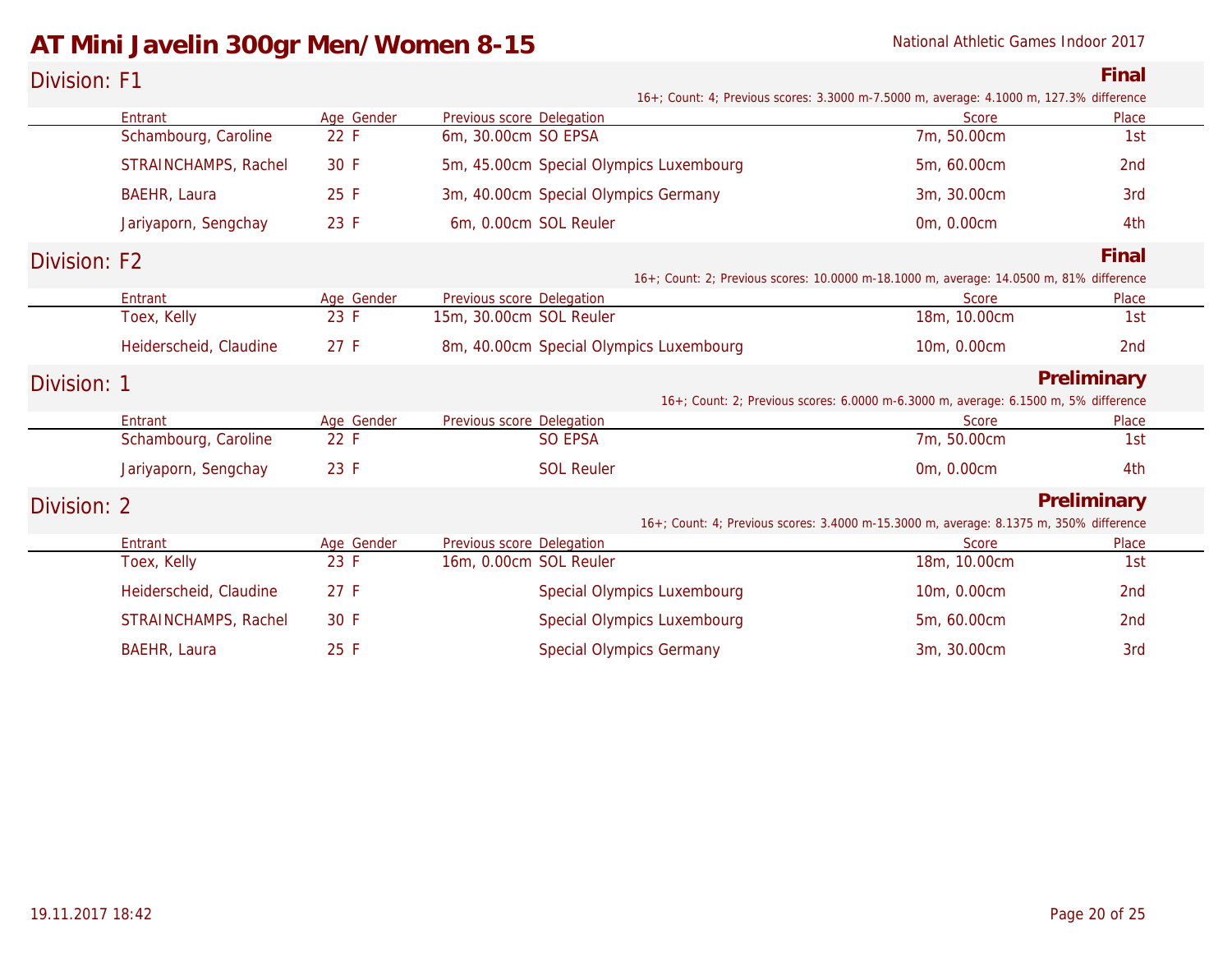### AT Mini Javelin 300gr Men/Women 8-15 **National Athletic Games Indoor 2017**

| Division: F1 |                                                                                        |            |                                         |                                                                                         | Final           |
|--------------|----------------------------------------------------------------------------------------|------------|-----------------------------------------|-----------------------------------------------------------------------------------------|-----------------|
|              |                                                                                        |            |                                         | 16+; Count: 4; Previous scores: 3.3000 m-7.5000 m, average: 4.1000 m, 127.3% difference |                 |
|              | Entrant                                                                                | Age Gender | Previous score Delegation               | Score                                                                                   | Place           |
|              | Schambourg, Caroline                                                                   | 22 F       | 6m, 30.00cm SO EPSA                     | 7m, 50.00cm                                                                             | 1st             |
|              | STRAINCHAMPS, Rachel                                                                   | 30 F       | 5m, 45.00cm Special Olympics Luxembourg | 5m, 60.00cm                                                                             | 2nd             |
|              | BAEHR, Laura                                                                           | 25 F       | 3m, 40.00cm Special Olympics Germany    | 3m, 30.00cm                                                                             | 3rd             |
|              | Jariyaporn, Sengchay                                                                   | 23 F       | 6m, 0.00cm SOL Reuler                   | 0m, 0.00cm                                                                              | 4th             |
| Division: F2 |                                                                                        |            |                                         |                                                                                         | Final           |
|              |                                                                                        |            |                                         | 16+; Count: 2; Previous scores: 10.0000 m-18.1000 m, average: 14.0500 m, 81% difference |                 |
|              | Entrant                                                                                | Age Gender | Previous score Delegation               | Score                                                                                   | Place           |
|              | Toex, Kelly                                                                            | 23 F       | 15m, 30.00cm SOL Reuler                 | 18m, 10.00cm                                                                            | 1st             |
|              | Heiderscheid, Claudine                                                                 | 27 F       | 8m, 40.00cm Special Olympics Luxembourg | 10m, 0.00cm                                                                             | 2nd             |
| Division: 1  |                                                                                        |            |                                         |                                                                                         | Preliminary     |
|              |                                                                                        |            |                                         | 16+; Count: 2; Previous scores: 6.0000 m-6.3000 m, average: 6.1500 m, 5% difference     |                 |
|              | Entrant                                                                                | Age Gender | Previous score Delegation               | Score                                                                                   | Place           |
|              | Schambourg, Caroline                                                                   | 22 F       | <b>SO EPSA</b>                          | 7m, 50.00cm                                                                             | 1st             |
|              | Jariyaporn, Sengchay                                                                   | 23 F       | <b>SOL Reuler</b>                       | 0m, 0.00cm                                                                              | 4th             |
| Division: 2  |                                                                                        |            |                                         | Preliminary                                                                             |                 |
|              | 16+; Count: 4; Previous scores: 3.4000 m-15.3000 m, average: 8.1375 m, 350% difference |            |                                         |                                                                                         |                 |
|              | Entrant                                                                                | Age Gender | Previous score Delegation               | Score                                                                                   | Place           |
|              | Toex, Kelly                                                                            | 23 F       | 16m, 0.00cm SOL Reuler                  | 18m, 10.00cm                                                                            | 1st             |
|              | Heiderscheid, Claudine                                                                 | 27 F       | Special Olympics Luxembourg             | 10m, 0.00cm                                                                             | 2 <sub>nd</sub> |
|              | STRAINCHAMPS, Rachel                                                                   | 30 F       | Special Olympics Luxembourg             | 5m, 60.00cm                                                                             | 2 <sub>nd</sub> |
|              | <b>BAEHR, Laura</b>                                                                    | 25 F       | <b>Special Olympics Germany</b>         | 3m, 30.00cm                                                                             | 3rd             |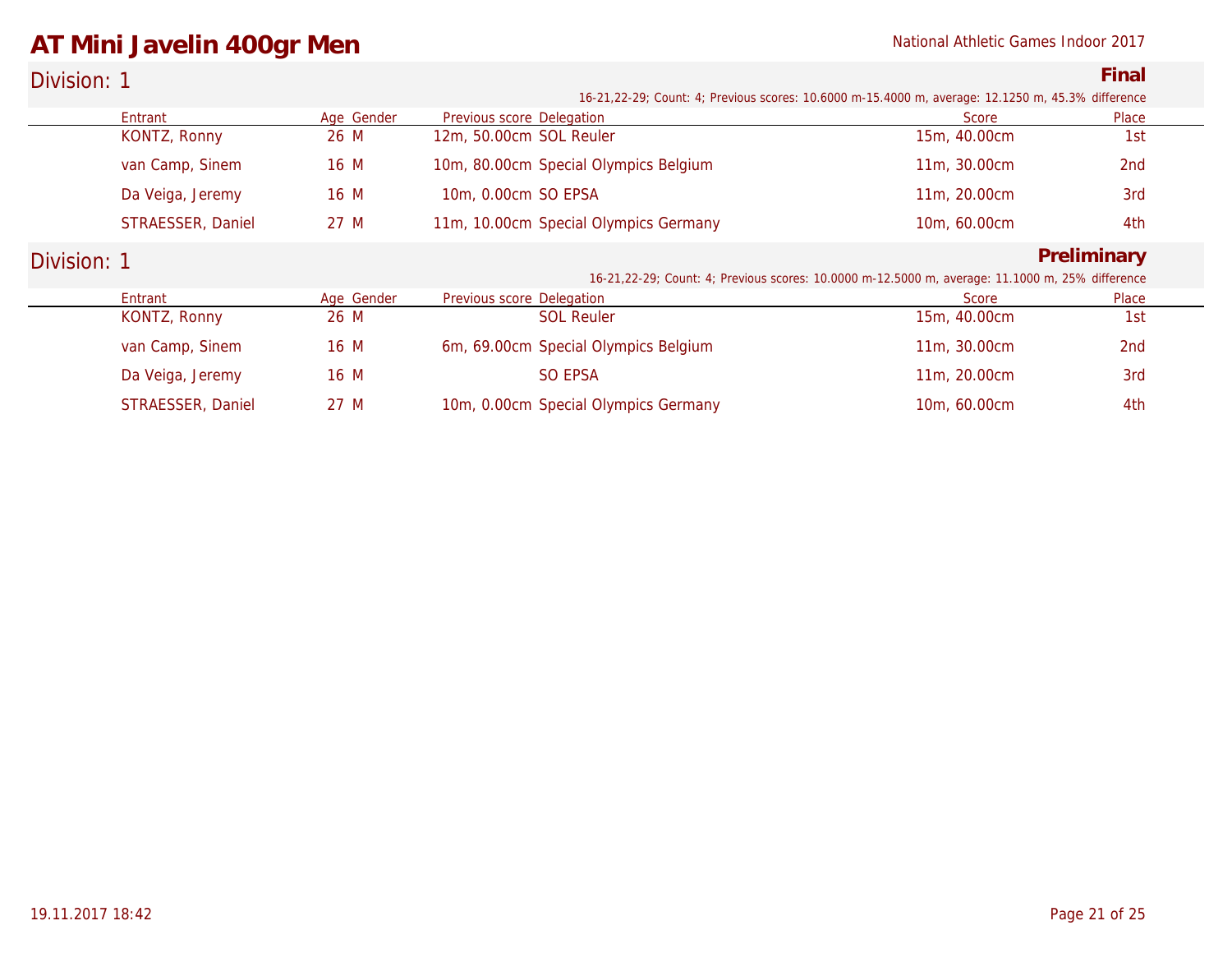## **AT Mini Javelin 400gr Men National Athletic Games Indoor 2017**

| Division: 1 | Final                                                                                             |
|-------------|---------------------------------------------------------------------------------------------------|
|             | 16-21,22-29; Count: 4; Previous scores: 10.6000 m-15.4000 m, average: 12.1250 m, 45.3% difference |

| Entrant           | Age Gender | Previous score Delegation             | Score                                                                                            | Place       |
|-------------------|------------|---------------------------------------|--------------------------------------------------------------------------------------------------|-------------|
| KONTZ, Ronny      | 26 M       | 12m, 50.00cm SOL Reuler               | 15m, 40.00cm                                                                                     | 1st         |
| van Camp, Sinem   | 16 M       | 10m, 80.00cm Special Olympics Belgium | 11m, 30.00cm                                                                                     | 2nd         |
| Da Veiga, Jeremy  | 16 M       | 10m, 0.00cm SO EPSA                   | 11m, 20.00cm                                                                                     | 3rd         |
| STRAESSER, Daniel | 27 M       | 11m, 10.00cm Special Olympics Germany | 10m, 60.00cm                                                                                     | 4th         |
| Division: 1       |            |                                       |                                                                                                  | Preliminary |
|                   |            |                                       | 16-21, 22-29; Count: 4; Previous scores: 10.0000 m-12.5000 m, average: 11.1000 m, 25% difference |             |
| Entrant           | Age Gender | Previous score Delegation             | Score                                                                                            | Place       |
| KONTZ, Ronny      | 26 M       | <b>SOL Reuler</b>                     | 15m, 40.00cm                                                                                     | 1st         |
| van Camp, Sinem   | 16 M       | 6m, 69.00cm Special Olympics Belgium  | 11m, 30.00cm                                                                                     | 2nd         |
| Da Veiga, Jeremy  | 16 M       | SO EPSA                               | 11m, 20.00cm                                                                                     | 3rd         |
| STRAESSER, Daniel | 27 M       | 10m, 0.00cm Special Olympics Germany  | 10m, 60.00cm                                                                                     | 4th         |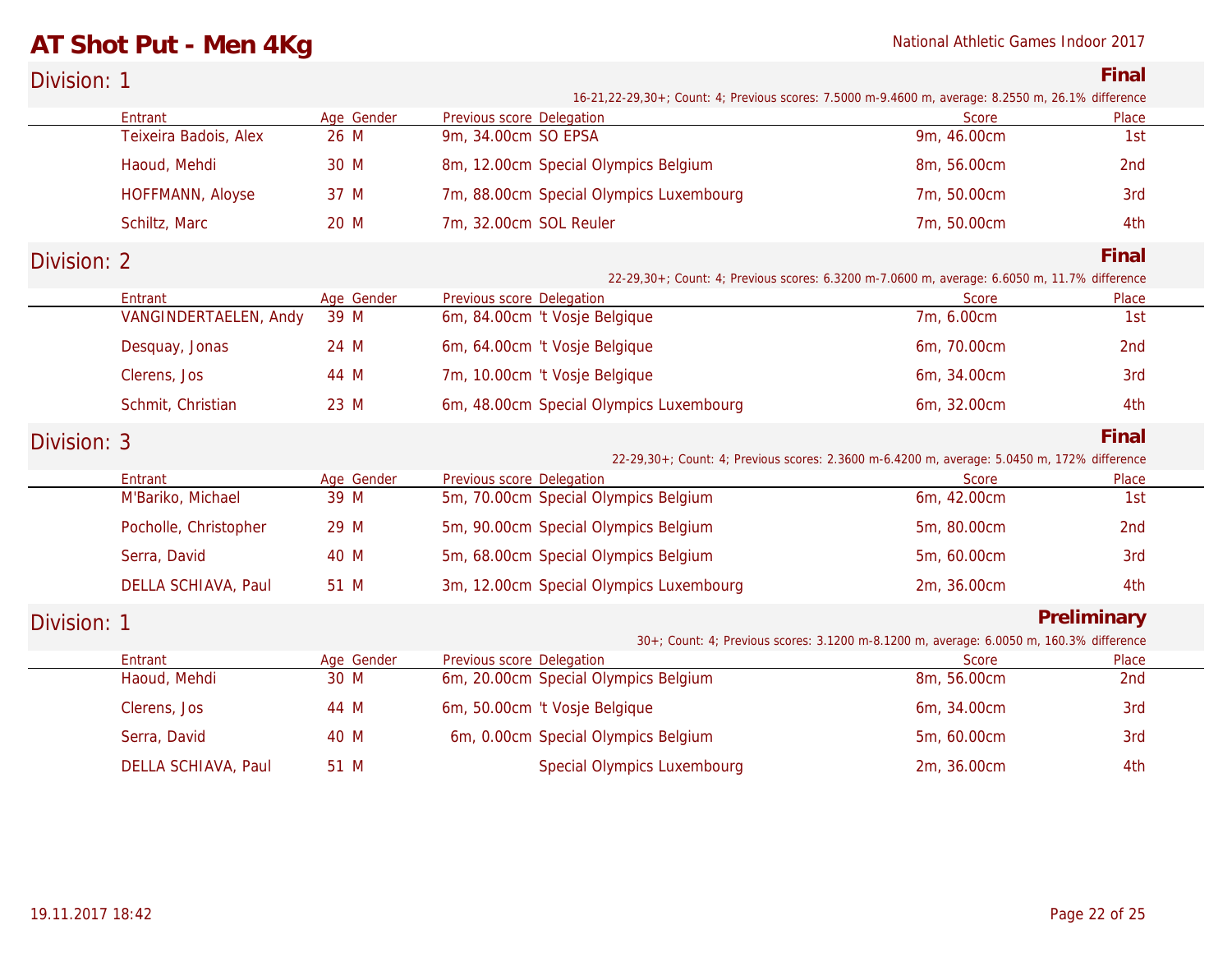# **AT Shot Put - Men 4Kg** National Athletic Games Indoor 2017

| Division: 1 |                                  |                    |                                                  |                                    |                                                                                                    | Final        |
|-------------|----------------------------------|--------------------|--------------------------------------------------|------------------------------------|----------------------------------------------------------------------------------------------------|--------------|
|             |                                  |                    |                                                  |                                    | 16-21,22-29,30+; Count: 4; Previous scores: 7.5000 m-9.4600 m, average: 8.2550 m, 26.1% difference |              |
|             | Entrant                          | Age Gender<br>26 M | Previous score Delegation<br>9m, 34.00cm SO EPSA |                                    | <b>Score</b><br>9m, 46.00cm                                                                        | Place<br>1st |
|             | Teixeira Badois, Alex            |                    |                                                  |                                    |                                                                                                    |              |
|             | Haoud, Mehdi                     | 30 M               | 8m, 12.00cm Special Olympics Belgium             |                                    | 8m, 56.00cm                                                                                        | 2nd          |
|             | HOFFMANN, Aloyse                 | 37 M               | 7m, 88.00cm Special Olympics Luxembourg          |                                    | 7m, 50.00cm                                                                                        | 3rd          |
|             | Schiltz, Marc                    | 20 M               | 7m, 32.00cm SOL Reuler                           |                                    | 7m, 50.00cm                                                                                        | 4th          |
| Division: 2 |                                  |                    |                                                  |                                    |                                                                                                    | Final        |
|             |                                  |                    |                                                  |                                    | 22-29,30+; Count: 4; Previous scores: 6.3200 m-7.0600 m, average: 6.6050 m, 11.7% difference       |              |
|             | Entrant<br>VANGINDERTAELEN, Andy | Age Gender         | Previous score Delegation                        |                                    | <b>Score</b>                                                                                       | Place        |
|             |                                  | 39 M               | 6m, 84.00cm 't Vosje Belgique                    |                                    | 7m, 6.00cm                                                                                         | 1st          |
|             | Desquay, Jonas                   | 24 M               | 6m, 64.00cm 't Vosje Belgique                    |                                    | 6m, 70.00cm                                                                                        | 2nd          |
|             | Clerens, Jos                     | 44 M               | 7m, 10.00cm 't Vosje Belgique                    |                                    | 6m, 34.00cm                                                                                        | 3rd          |
|             | Schmit, Christian                | 23 M               | 6m, 48.00cm Special Olympics Luxembourg          |                                    | 6m, 32.00cm                                                                                        | 4th          |
| Division: 3 |                                  |                    |                                                  |                                    |                                                                                                    | Final        |
|             |                                  |                    |                                                  |                                    | 22-29,30+; Count: 4; Previous scores: 2.3600 m-6.4200 m, average: 5.0450 m, 172% difference        |              |
|             | Entrant                          | Age Gender         | Previous score Delegation                        |                                    | Score                                                                                              | Place        |
|             | M'Bariko, Michael                | 39 M               | 5m, 70.00cm Special Olympics Belgium             |                                    | 6m, 42.00cm                                                                                        | 1st          |
|             | Pocholle, Christopher            | 29 M               | 5m, 90.00cm Special Olympics Belgium             |                                    | 5m, 80.00cm                                                                                        | 2nd          |
|             | Serra, David                     | 40 M               | 5m, 68.00cm Special Olympics Belgium             |                                    | 5m, 60.00cm                                                                                        | 3rd          |
|             | DELLA SCHIAVA, Paul              | 51 M               | 3m, 12.00cm Special Olympics Luxembourg          |                                    | 2m, 36.00cm                                                                                        | 4th          |
| Division: 1 |                                  |                    |                                                  |                                    |                                                                                                    | Preliminary  |
|             |                                  |                    |                                                  |                                    | 30+; Count: 4; Previous scores: 3.1200 m-8.1200 m, average: 6.0050 m, 160.3% difference            |              |
|             | Entrant                          | Age Gender         | Previous score Delegation                        |                                    | <b>Score</b>                                                                                       | Place        |
|             | Haoud, Mehdi                     | 30 M               | 6m, 20.00cm Special Olympics Belgium             |                                    | 8m, 56.00cm                                                                                        | 2nd          |
|             | Clerens, Jos                     | 44 M               | 6m, 50.00cm 't Vosje Belgique                    |                                    | 6m, 34.00cm                                                                                        | 3rd          |
|             | Serra, David                     | 40 M               | 6m, 0.00cm Special Olympics Belgium              |                                    | 5m, 60.00cm                                                                                        | 3rd          |
|             | DELLA SCHIAVA, Paul              | 51 M               |                                                  | <b>Special Olympics Luxembourg</b> | 2m, 36.00cm                                                                                        | 4th          |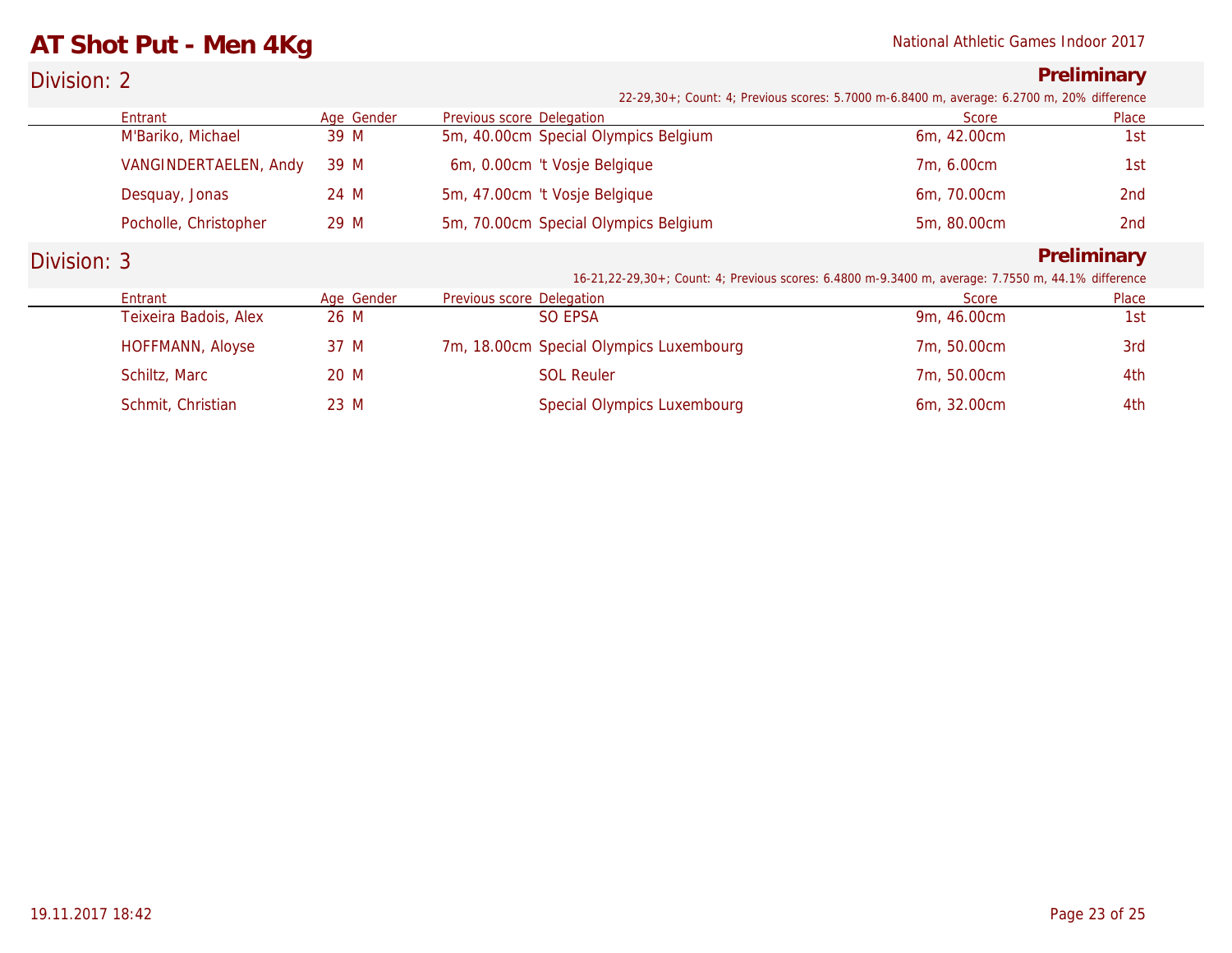## **AT Shot Put - Men 4Kg** National Athletic Games Indoor 2017

### Division: 2 **Preliminary** *22-29,30+; Count: 4; Previous scores: 5.7000 m-6.8400 m, average: 6.2700 m, 20% difference*

|             | Entrant                 | Age Gender | Previous score Delegation               | Score                                                                                              | Place           |  |
|-------------|-------------------------|------------|-----------------------------------------|----------------------------------------------------------------------------------------------------|-----------------|--|
|             | M'Bariko, Michael       | 39 M       | 5m, 40.00cm Special Olympics Belgium    | 6m, 42.00cm                                                                                        | 1st             |  |
|             | VANGINDERTAELEN, Andy   | 39 M       | 6m, 0.00cm 't Vosje Belgique            | 7m, 6.00cm                                                                                         | 1st             |  |
|             | Desquay, Jonas          | 24 M       | 5m, 47.00cm 't Vosje Belgique           | 6m, 70.00cm                                                                                        | 2 <sub>nd</sub> |  |
|             | Pocholle, Christopher   | 29 M       | 5m, 70.00cm Special Olympics Belgium    | 5m, 80.00cm                                                                                        | 2nd             |  |
| Division: 3 |                         |            |                                         |                                                                                                    | Preliminary     |  |
|             |                         |            |                                         | 16-21,22-29,30+; Count: 4; Previous scores: 6.4800 m-9.3400 m, average: 7.7550 m, 44.1% difference |                 |  |
|             | Entrant                 | Age Gender | Previous score Delegation               | Score                                                                                              | Place           |  |
|             | Teixeira Badois, Alex   | 26 M       | SO EPSA                                 | 9m, 46.00cm                                                                                        | 1st             |  |
|             | <b>HOFFMANN, Aloyse</b> | 37 M       | 7m, 18.00cm Special Olympics Luxembourg | 7m, 50.00cm                                                                                        | 3rd             |  |
|             | Schiltz, Marc           | 20 M       | <b>SOL Reuler</b>                       | 7m, 50.00cm                                                                                        | 4th             |  |
|             | Schmit, Christian       | 23 M       | Special Olympics Luxembourg             | 6m, 32.00cm                                                                                        | 4th             |  |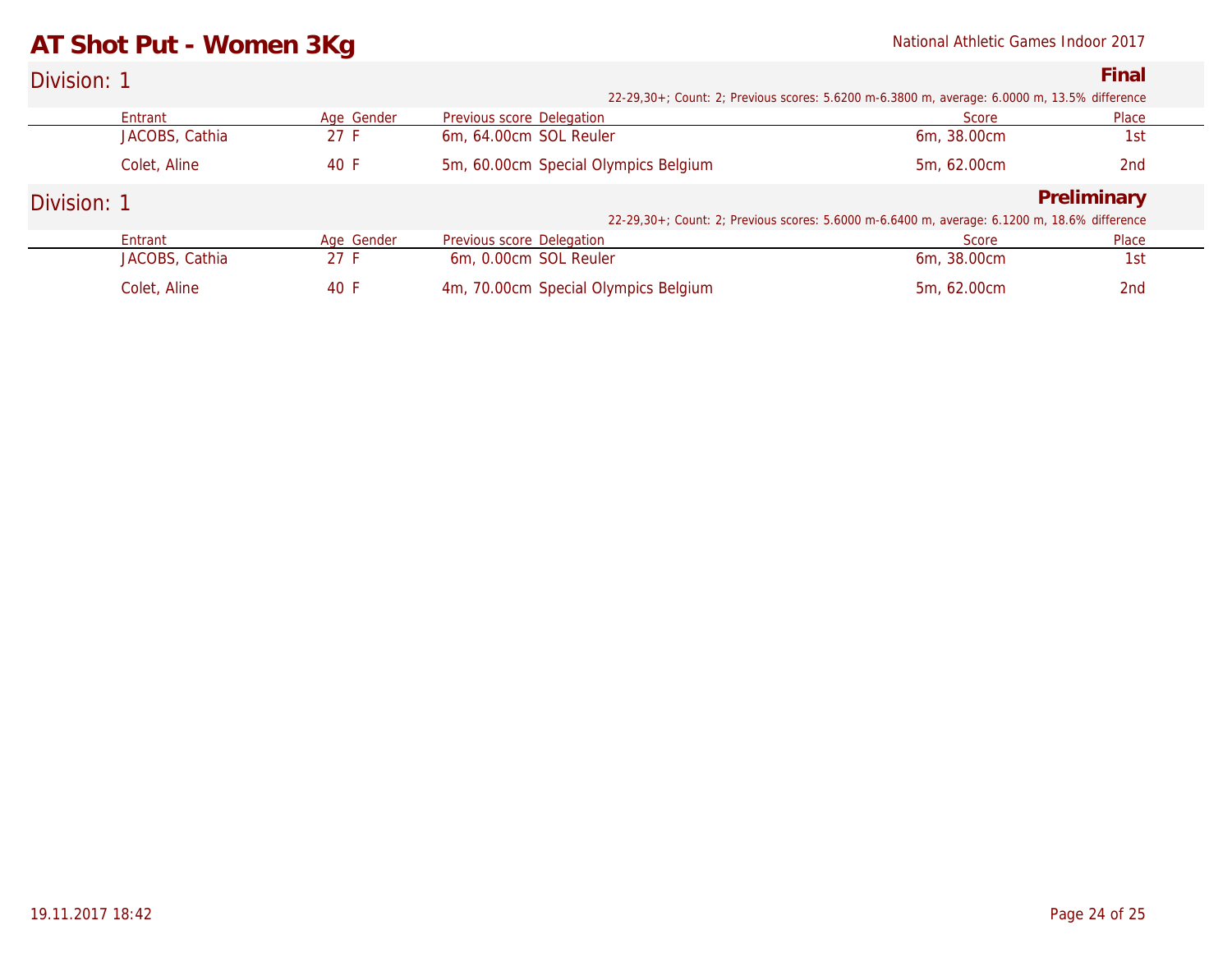## **AT Shot Put - Women 3Kg** National Athletic Games Indoor 2017

| Division: 1 |                |            |                                      |                                                                                              | Final       |
|-------------|----------------|------------|--------------------------------------|----------------------------------------------------------------------------------------------|-------------|
|             |                |            |                                      | 22-29,30+; Count: 2; Previous scores: 5.6200 m-6.3800 m, average: 6.0000 m, 13.5% difference |             |
|             | Entrant        | Age Gender | Previous score Delegation            | Score                                                                                        | Place       |
|             | JACOBS, Cathia | 27 F       | 6m, 64.00cm SOL Reuler               | 6m, 38.00cm                                                                                  | 1st         |
|             | Colet, Aline   | 40 F       | 5m, 60.00cm Special Olympics Belgium | 5m, 62.00cm                                                                                  | 2nd         |
| Division: 1 |                |            |                                      |                                                                                              | Preliminary |
|             |                |            |                                      | 22-29,30+; Count: 2; Previous scores: 5.6000 m-6.6400 m, average: 6.1200 m, 18.6% difference |             |
|             | Entrant        | Age Gender | Previous score Delegation            | Score                                                                                        | Place       |
|             | JACOBS, Cathia | 27 F       | 6m, 0.00cm SOL Reuler                | 6m, 38.00cm                                                                                  | 1st         |
|             | Colet, Aline   | 40 F       | 4m, 70.00cm Special Olympics Belgium | 5m. 62.00cm                                                                                  | 2nd         |